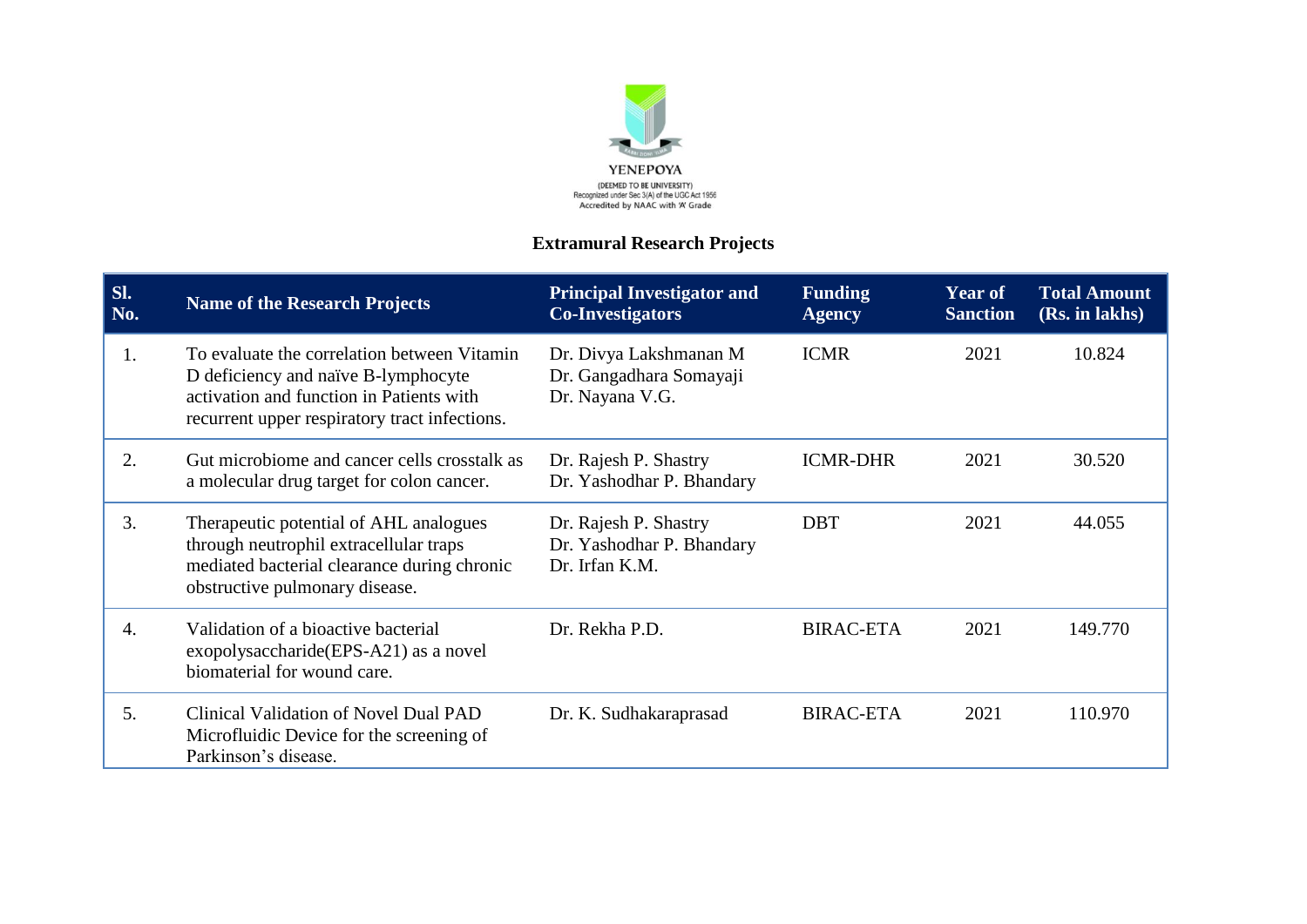

## **Extramural Research Projects**

| Sl.<br>No. | <b>Name of the Research Projects</b>                                                                                                                                            | <b>Principal Investigator and</b><br><b>Co-Investigators</b>         | <b>Funding</b><br><b>Agency</b> | <b>Year of</b><br><b>Sanction</b> | <b>Total Amount</b><br>(Rs. in lakhs) |
|------------|---------------------------------------------------------------------------------------------------------------------------------------------------------------------------------|----------------------------------------------------------------------|---------------------------------|-----------------------------------|---------------------------------------|
| 1.         | To evaluate the correlation between Vitamin<br>D deficiency and naïve B-lymphocyte<br>activation and function in Patients with<br>recurrent upper respiratory tract infections. | Dr. Divya Lakshmanan M<br>Dr. Gangadhara Somayaji<br>Dr. Nayana V.G. | <b>ICMR</b>                     | 2021                              | 10.824                                |
| 2.         | Gut microbiome and cancer cells crosstalk as<br>a molecular drug target for colon cancer.                                                                                       | Dr. Rajesh P. Shastry<br>Dr. Yashodhar P. Bhandary                   | <b>ICMR-DHR</b>                 | 2021                              | 30.520                                |
| 3.         | Therapeutic potential of AHL analogues<br>through neutrophil extracellular traps<br>mediated bacterial clearance during chronic<br>obstructive pulmonary disease.               | Dr. Rajesh P. Shastry<br>Dr. Yashodhar P. Bhandary<br>Dr. Irfan K.M. | <b>DBT</b>                      | 2021                              | 44.055                                |
| 4.         | Validation of a bioactive bacterial<br>exopolysaccharide (EPS-A21) as a novel<br>biomaterial for wound care.                                                                    | Dr. Rekha P.D.                                                       | <b>BIRAC-ETA</b>                | 2021                              | 149.770                               |
| 5.         | Clinical Validation of Novel Dual PAD<br>Microfluidic Device for the screening of<br>Parkinson's disease.                                                                       | Dr. K. Sudhakaraprasad                                               | <b>BIRAC-ETA</b>                | 2021                              | 110.970                               |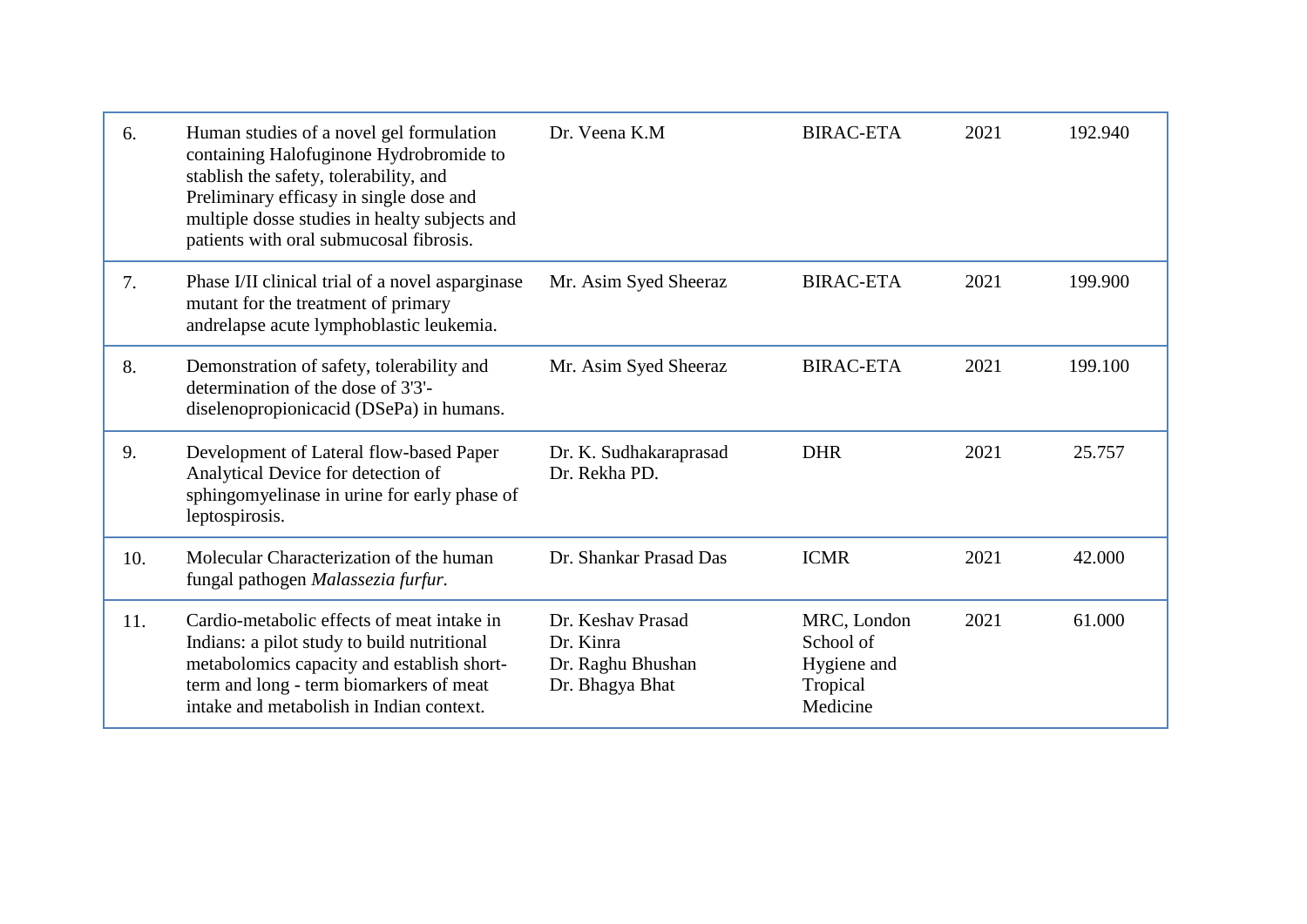| 6.  | Human studies of a novel gel formulation<br>containing Halofuginone Hydrobromide to<br>stablish the safety, tolerability, and<br>Preliminary efficasy in single dose and<br>multiple dosse studies in healty subjects and<br>patients with oral submucosal fibrosis. | Dr. Veena K.M                                                          | <b>BIRAC-ETA</b>                                                | 2021 | 192.940 |
|-----|----------------------------------------------------------------------------------------------------------------------------------------------------------------------------------------------------------------------------------------------------------------------|------------------------------------------------------------------------|-----------------------------------------------------------------|------|---------|
| 7.  | Phase I/II clinical trial of a novel asparginase<br>mutant for the treatment of primary<br>andrelapse acute lymphoblastic leukemia.                                                                                                                                  | Mr. Asim Syed Sheeraz                                                  | <b>BIRAC-ETA</b>                                                | 2021 | 199.900 |
| 8.  | Demonstration of safety, tolerability and<br>determination of the dose of 3'3'-<br>diselenopropionicacid (DSePa) in humans.                                                                                                                                          | Mr. Asim Syed Sheeraz                                                  | <b>BIRAC-ETA</b>                                                | 2021 | 199.100 |
| 9.  | Development of Lateral flow-based Paper<br>Analytical Device for detection of<br>sphingomyelinase in urine for early phase of<br>leptospirosis.                                                                                                                      | Dr. K. Sudhakaraprasad<br>Dr. Rekha PD.                                | <b>DHR</b>                                                      | 2021 | 25.757  |
| 10. | Molecular Characterization of the human<br>fungal pathogen Malassezia furfur.                                                                                                                                                                                        | Dr. Shankar Prasad Das                                                 | <b>ICMR</b>                                                     | 2021 | 42.000  |
| 11. | Cardio-metabolic effects of meat intake in<br>Indians: a pilot study to build nutritional<br>metabolomics capacity and establish short-<br>term and long - term biomarkers of meat<br>intake and metabolish in Indian context.                                       | Dr. Keshav Prasad<br>Dr. Kinra<br>Dr. Raghu Bhushan<br>Dr. Bhagya Bhat | MRC, London<br>School of<br>Hygiene and<br>Tropical<br>Medicine | 2021 | 61.000  |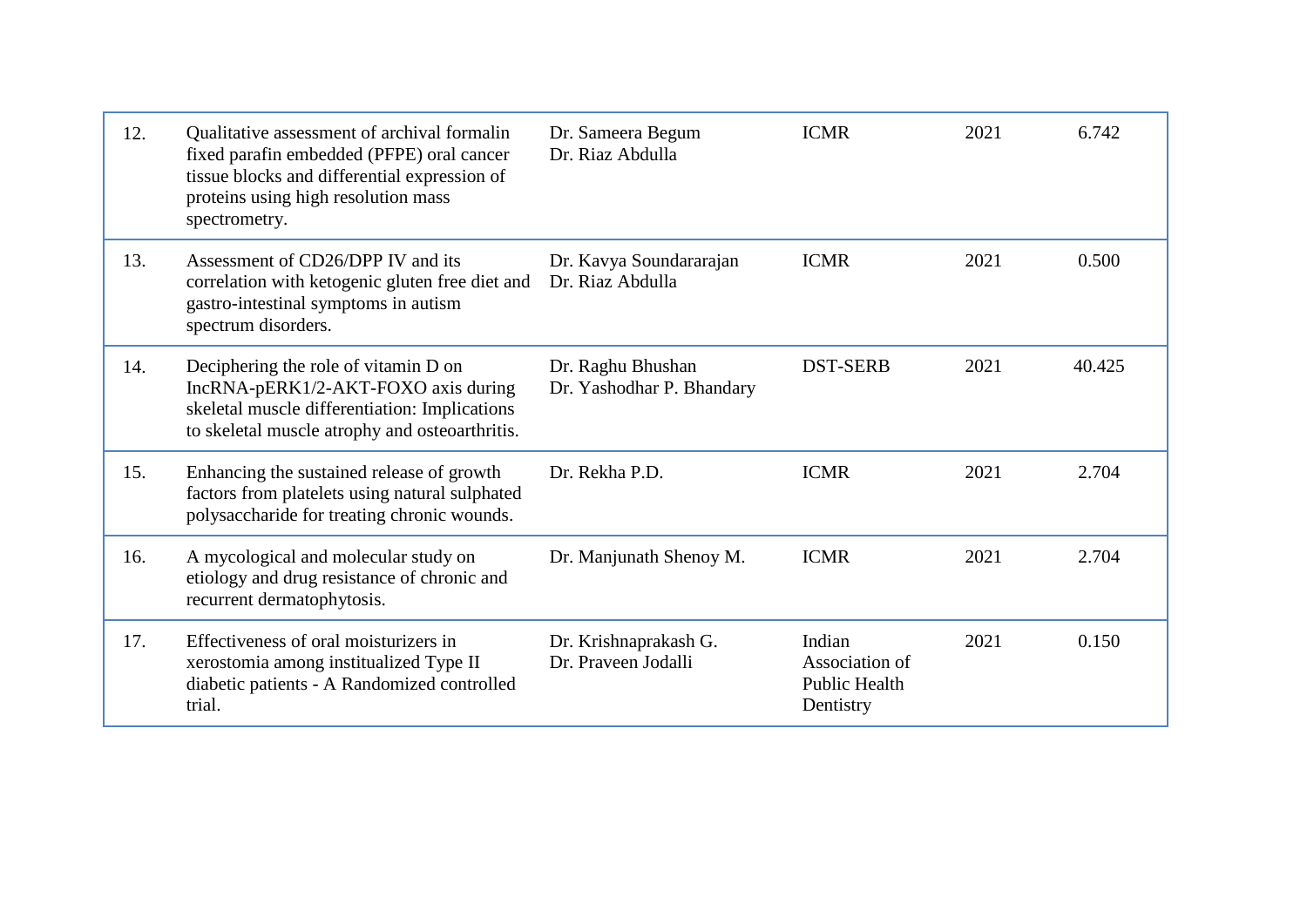| 12. | Qualitative assessment of archival formalin<br>fixed parafin embedded (PFPE) oral cancer<br>tissue blocks and differential expression of<br>proteins using high resolution mass<br>spectrometry. | Dr. Sameera Begum<br>Dr. Riaz Abdulla          | <b>ICMR</b>                                                   | 2021 | 6.742  |
|-----|--------------------------------------------------------------------------------------------------------------------------------------------------------------------------------------------------|------------------------------------------------|---------------------------------------------------------------|------|--------|
| 13. | Assessment of CD26/DPP IV and its<br>correlation with ketogenic gluten free diet and<br>gastro-intestinal symptoms in autism<br>spectrum disorders.                                              | Dr. Kavya Soundararajan<br>Dr. Riaz Abdulla    | <b>ICMR</b>                                                   | 2021 | 0.500  |
| 14. | Deciphering the role of vitamin D on<br>IncRNA-pERK1/2-AKT-FOXO axis during<br>skeletal muscle differentiation: Implications<br>to skeletal muscle atrophy and osteoarthritis.                   | Dr. Raghu Bhushan<br>Dr. Yashodhar P. Bhandary | <b>DST-SERB</b>                                               | 2021 | 40.425 |
| 15. | Enhancing the sustained release of growth<br>factors from platelets using natural sulphated<br>polysaccharide for treating chronic wounds.                                                       | Dr. Rekha P.D.                                 | <b>ICMR</b>                                                   | 2021 | 2.704  |
| 16. | A mycological and molecular study on<br>etiology and drug resistance of chronic and<br>recurrent dermatophytosis.                                                                                | Dr. Manjunath Shenoy M.                        | <b>ICMR</b>                                                   | 2021 | 2.704  |
| 17. | Effectiveness of oral moisturizers in<br>xerostomia among institualized Type II<br>diabetic patients - A Randomized controlled<br>trial.                                                         | Dr. Krishnaprakash G.<br>Dr. Praveen Jodalli   | Indian<br>Association of<br><b>Public Health</b><br>Dentistry | 2021 | 0.150  |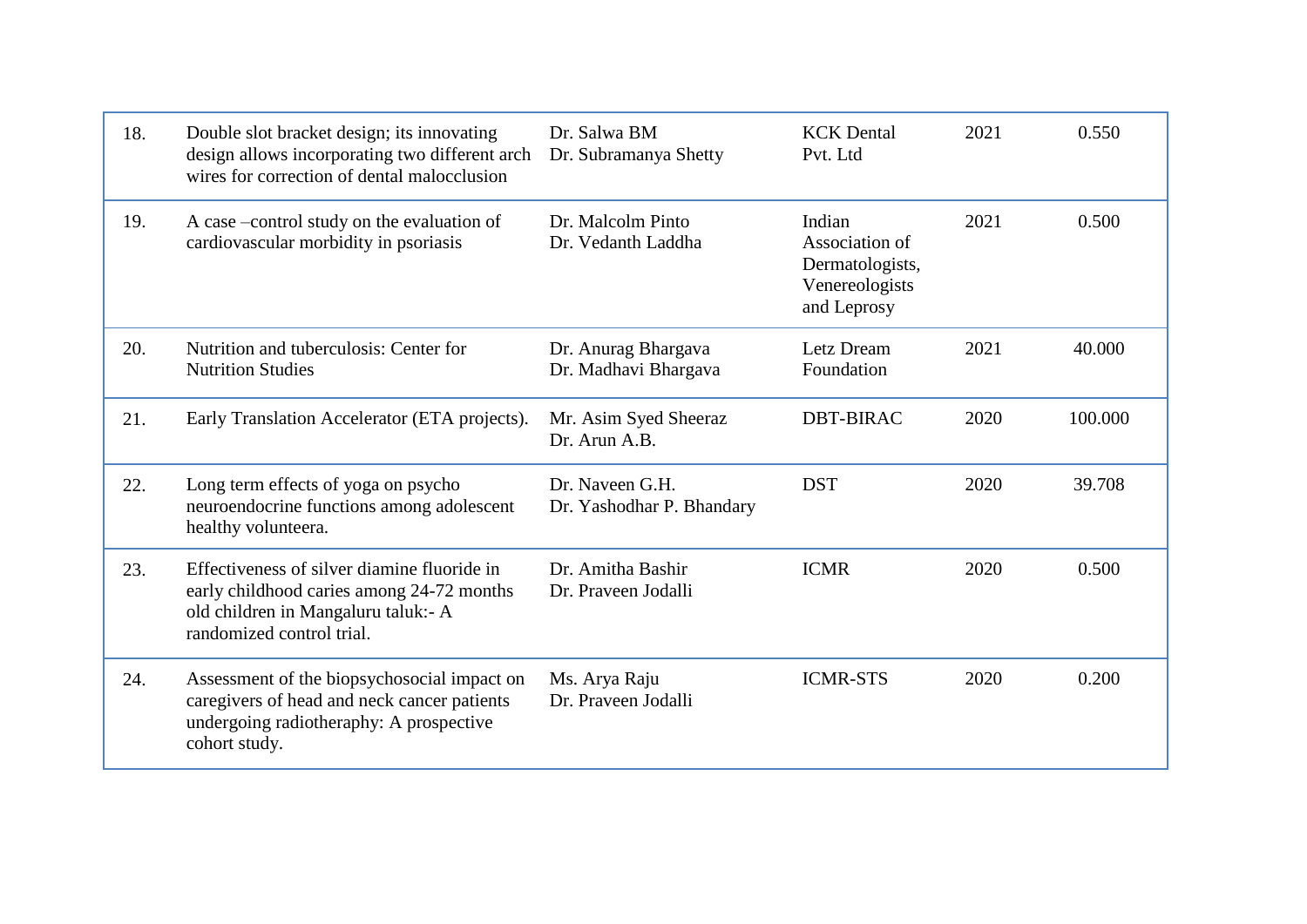| 18. | Double slot bracket design; its innovating<br>design allows incorporating two different arch<br>wires for correction of dental malocclusion                  | Dr. Salwa BM<br>Dr. Subramanya Shetty        | <b>KCK</b> Dental<br>Pvt. Ltd                                                | 2021 | 0.550   |
|-----|--------------------------------------------------------------------------------------------------------------------------------------------------------------|----------------------------------------------|------------------------------------------------------------------------------|------|---------|
| 19. | A case –control study on the evaluation of<br>cardiovascular morbidity in psoriasis                                                                          | Dr. Malcolm Pinto<br>Dr. Vedanth Laddha      | Indian<br>Association of<br>Dermatologists,<br>Venereologists<br>and Leprosy | 2021 | 0.500   |
| 20. | Nutrition and tuberculosis: Center for<br><b>Nutrition Studies</b>                                                                                           | Dr. Anurag Bhargava<br>Dr. Madhavi Bhargava  | Letz Dream<br>Foundation                                                     | 2021 | 40.000  |
| 21. | Early Translation Accelerator (ETA projects).                                                                                                                | Mr. Asim Syed Sheeraz<br>Dr. Arun A.B.       | <b>DBT-BIRAC</b>                                                             | 2020 | 100.000 |
| 22. | Long term effects of yoga on psycho<br>neuroendocrine functions among adolescent<br>healthy volunteera.                                                      | Dr. Naveen G.H.<br>Dr. Yashodhar P. Bhandary | <b>DST</b>                                                                   | 2020 | 39.708  |
| 23. | Effectiveness of silver diamine fluoride in<br>early childhood caries among 24-72 months<br>old children in Mangaluru taluk:- A<br>randomized control trial. | Dr. Amitha Bashir<br>Dr. Praveen Jodalli     | <b>ICMR</b>                                                                  | 2020 | 0.500   |
| 24. | Assessment of the biopsychosocial impact on<br>caregivers of head and neck cancer patients<br>undergoing radiotheraphy: A prospective<br>cohort study.       | Ms. Arya Raju<br>Dr. Praveen Jodalli         | <b>ICMR-STS</b>                                                              | 2020 | 0.200   |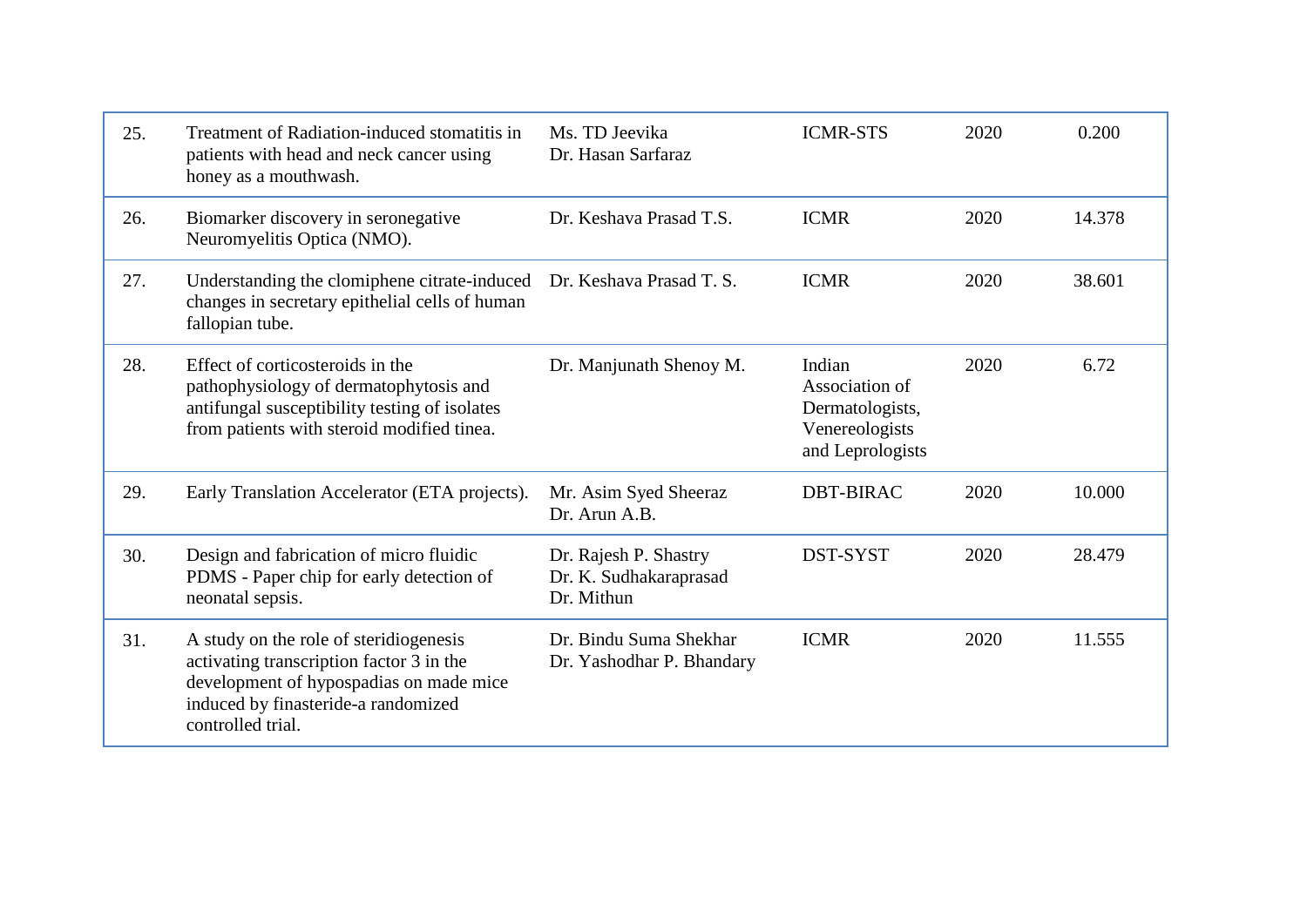| 25. | Treatment of Radiation-induced stomatitis in<br>patients with head and neck cancer using<br>honey as a mouthwash.                                                                         | Ms. TD Jeevika<br>Dr. Hasan Sarfaraz                          | <b>ICMR-STS</b>                                                                   | 2020 | 0.200  |
|-----|-------------------------------------------------------------------------------------------------------------------------------------------------------------------------------------------|---------------------------------------------------------------|-----------------------------------------------------------------------------------|------|--------|
| 26. | Biomarker discovery in seronegative<br>Neuromyelitis Optica (NMO).                                                                                                                        | Dr. Keshava Prasad T.S.                                       | <b>ICMR</b>                                                                       | 2020 | 14.378 |
| 27. | Understanding the clomiphene citrate-induced<br>changes in secretary epithelial cells of human<br>fallopian tube.                                                                         | Dr. Keshava Prasad T. S.                                      | <b>ICMR</b>                                                                       | 2020 | 38.601 |
| 28. | Effect of corticosteroids in the<br>pathophysiology of dermatophytosis and<br>antifungal susceptibility testing of isolates<br>from patients with steroid modified tinea.                 | Dr. Manjunath Shenoy M.                                       | Indian<br>Association of<br>Dermatologists,<br>Venereologists<br>and Leprologists | 2020 | 6.72   |
| 29. | Early Translation Accelerator (ETA projects).                                                                                                                                             | Mr. Asim Syed Sheeraz<br>Dr. Arun A.B.                        | <b>DBT-BIRAC</b>                                                                  | 2020 | 10.000 |
| 30. | Design and fabrication of micro fluidic<br>PDMS - Paper chip for early detection of<br>neonatal sepsis.                                                                                   | Dr. Rajesh P. Shastry<br>Dr. K. Sudhakaraprasad<br>Dr. Mithun | DST-SYST                                                                          | 2020 | 28.479 |
| 31. | A study on the role of steridiogenesis<br>activating transcription factor 3 in the<br>development of hypospadias on made mice<br>induced by finasteride-a randomized<br>controlled trial. | Dr. Bindu Suma Shekhar<br>Dr. Yashodhar P. Bhandary           | <b>ICMR</b>                                                                       | 2020 | 11.555 |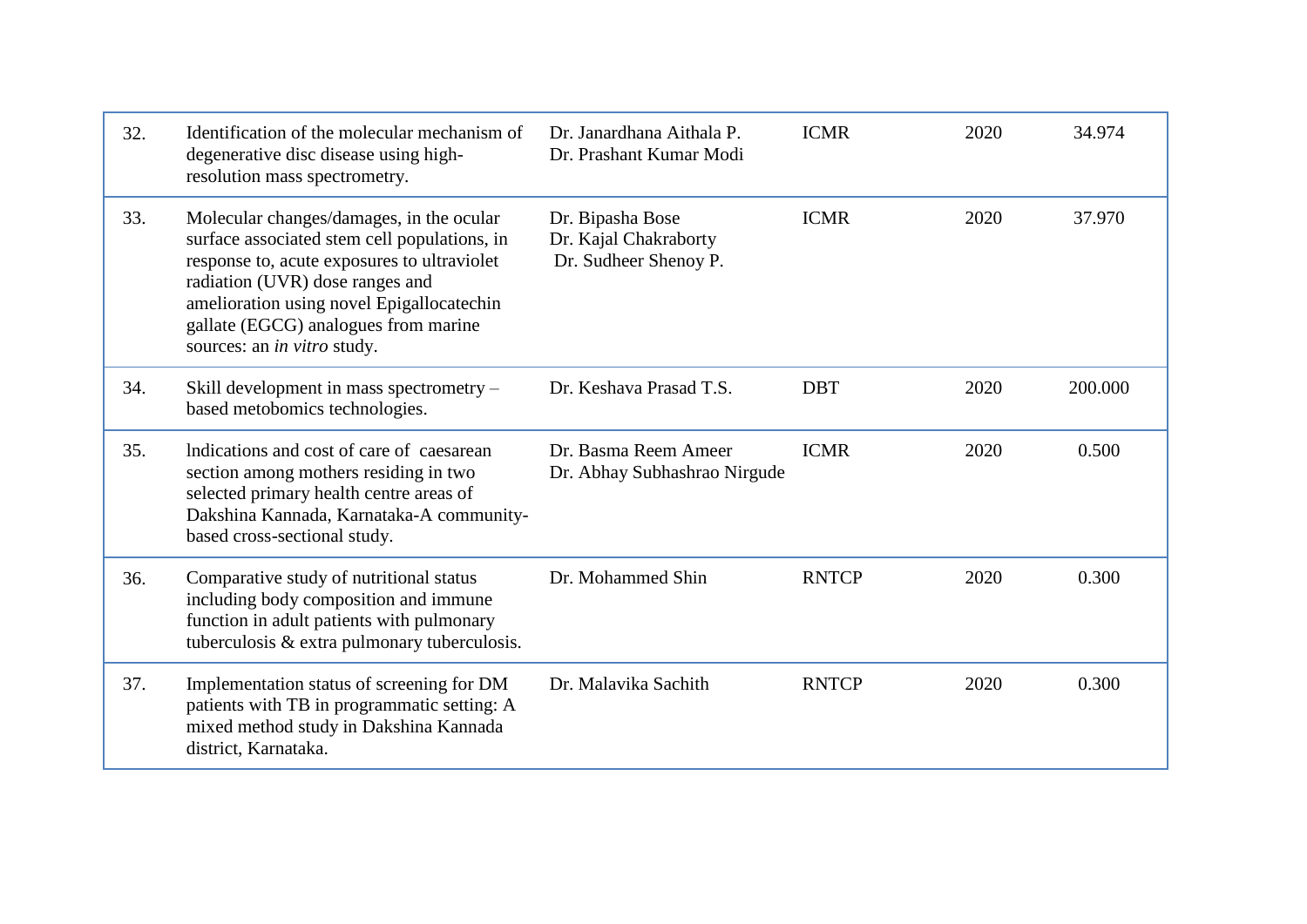| 32. | Identification of the molecular mechanism of<br>degenerative disc disease using high-<br>resolution mass spectrometry.                                                                                                                                                                                | Dr. Janardhana Aithala P.<br>Dr. Prashant Kumar Modi               | <b>ICMR</b>  | 2020 | 34.974  |
|-----|-------------------------------------------------------------------------------------------------------------------------------------------------------------------------------------------------------------------------------------------------------------------------------------------------------|--------------------------------------------------------------------|--------------|------|---------|
| 33. | Molecular changes/damages, in the ocular<br>surface associated stem cell populations, in<br>response to, acute exposures to ultraviolet<br>radiation (UVR) dose ranges and<br>amelioration using novel Epigallocatechin<br>gallate (EGCG) analogues from marine<br>sources: an <i>in vitro</i> study. | Dr. Bipasha Bose<br>Dr. Kajal Chakraborty<br>Dr. Sudheer Shenoy P. | <b>ICMR</b>  | 2020 | 37.970  |
| 34. | Skill development in mass spectrometry –<br>based metobomics technologies.                                                                                                                                                                                                                            | Dr. Keshava Prasad T.S.                                            | <b>DBT</b>   | 2020 | 200.000 |
| 35. | Indications and cost of care of caesarean<br>section among mothers residing in two<br>selected primary health centre areas of<br>Dakshina Kannada, Karnataka-A community-<br>based cross-sectional study.                                                                                             | Dr. Basma Reem Ameer<br>Dr. Abhay Subhashrao Nirgude               | <b>ICMR</b>  | 2020 | 0.500   |
| 36. | Comparative study of nutritional status<br>including body composition and immune<br>function in adult patients with pulmonary<br>tuberculosis $&$ extra pulmonary tuberculosis.                                                                                                                       | Dr. Mohammed Shin                                                  | <b>RNTCP</b> | 2020 | 0.300   |
| 37. | Implementation status of screening for DM<br>patients with TB in programmatic setting: A<br>mixed method study in Dakshina Kannada<br>district, Karnataka.                                                                                                                                            | Dr. Malavika Sachith                                               | <b>RNTCP</b> | 2020 | 0.300   |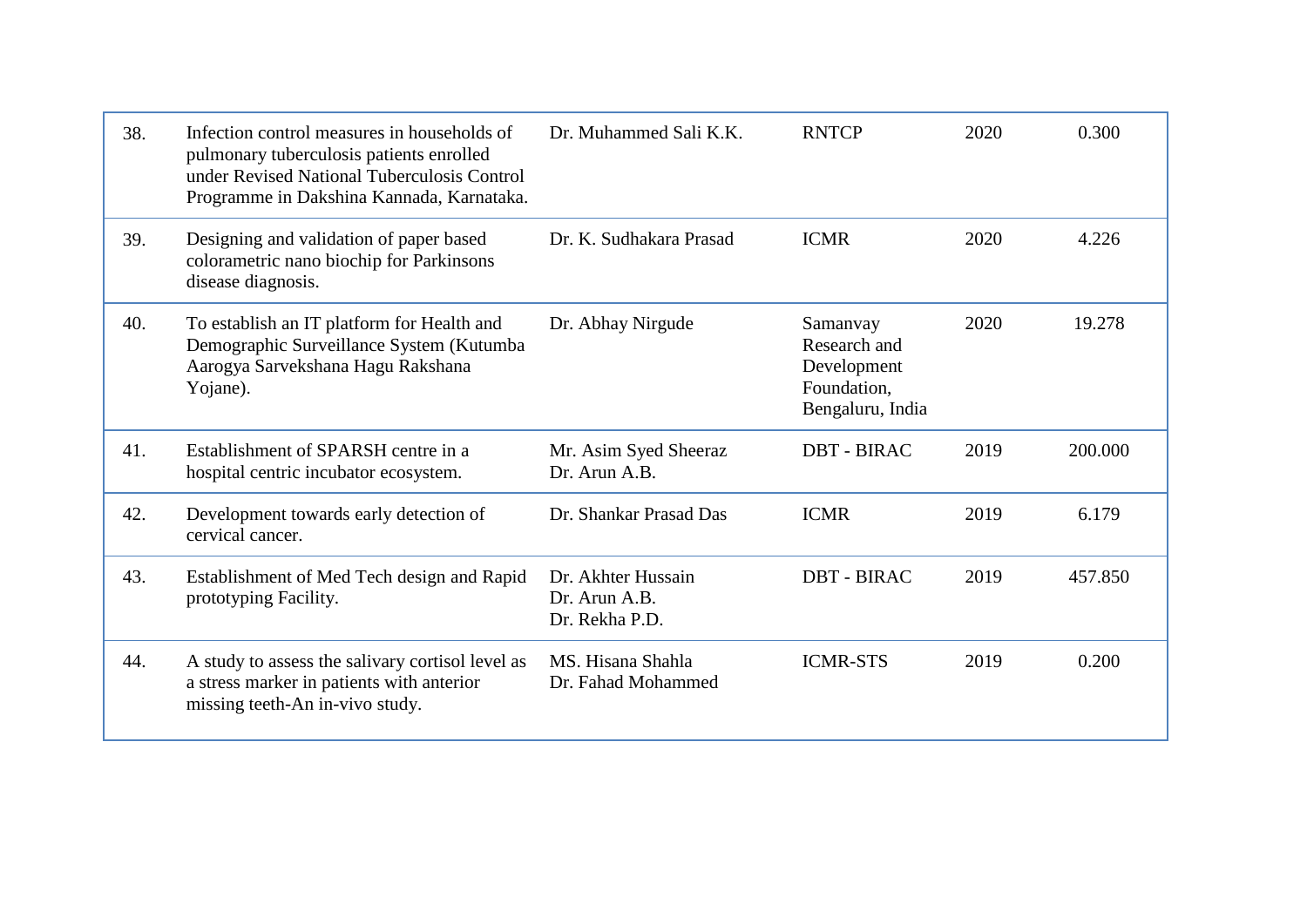| 38. | Infection control measures in households of<br>pulmonary tuberculosis patients enrolled<br>under Revised National Tuberculosis Control<br>Programme in Dakshina Kannada, Karnataka. | Dr. Muhammed Sali K.K.                                | <b>RNTCP</b>                                                               | 2020 | 0.300   |
|-----|-------------------------------------------------------------------------------------------------------------------------------------------------------------------------------------|-------------------------------------------------------|----------------------------------------------------------------------------|------|---------|
| 39. | Designing and validation of paper based<br>colorametric nano biochip for Parkinsons<br>disease diagnosis.                                                                           | Dr. K. Sudhakara Prasad                               | <b>ICMR</b>                                                                | 2020 | 4.226   |
| 40. | To establish an IT platform for Health and<br>Demographic Surveillance System (Kutumba<br>Aarogya Sarvekshana Hagu Rakshana<br>Yojane).                                             | Dr. Abhay Nirgude                                     | Samanyay<br>Research and<br>Development<br>Foundation,<br>Bengaluru, India | 2020 | 19.278  |
| 41. | Establishment of SPARSH centre in a<br>hospital centric incubator ecosystem.                                                                                                        | Mr. Asim Syed Sheeraz<br>Dr. Arun A.B.                | <b>DBT - BIRAC</b>                                                         | 2019 | 200.000 |
| 42. | Development towards early detection of<br>cervical cancer.                                                                                                                          | Dr. Shankar Prasad Das                                | <b>ICMR</b>                                                                | 2019 | 6.179   |
| 43. | Establishment of Med Tech design and Rapid<br>prototyping Facility.                                                                                                                 | Dr. Akhter Hussain<br>Dr. Arun A.B.<br>Dr. Rekha P.D. | <b>DBT - BIRAC</b>                                                         | 2019 | 457.850 |
| 44. | A study to assess the salivary cortisol level as<br>a stress marker in patients with anterior<br>missing teeth-An in-vivo study.                                                    | MS. Hisana Shahla<br>Dr. Fahad Mohammed               | <b>ICMR-STS</b>                                                            | 2019 | 0.200   |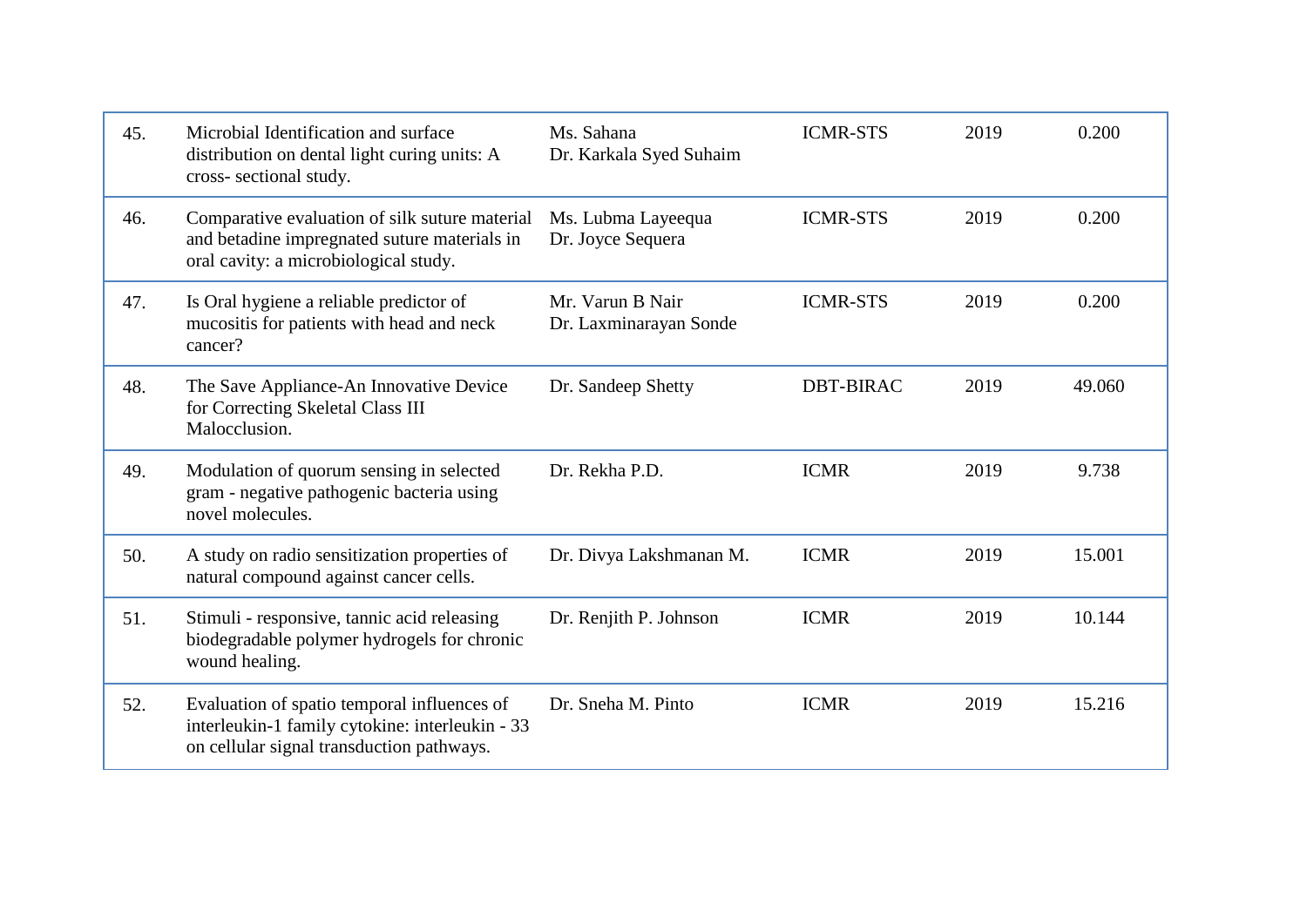| 45. | Microbial Identification and surface<br>distribution on dental light curing units: A<br>cross-sectional study.                              | Ms. Sahana<br>Dr. Karkala Syed Suhaim      | <b>ICMR-STS</b>  | 2019 | 0.200  |
|-----|---------------------------------------------------------------------------------------------------------------------------------------------|--------------------------------------------|------------------|------|--------|
| 46. | Comparative evaluation of silk suture material<br>and betadine impregnated suture materials in<br>oral cavity: a microbiological study.     | Ms. Lubma Layeequa<br>Dr. Joyce Sequera    | <b>ICMR-STS</b>  | 2019 | 0.200  |
| 47. | Is Oral hygiene a reliable predictor of<br>mucositis for patients with head and neck<br>cancer?                                             | Mr. Varun B Nair<br>Dr. Laxminarayan Sonde | <b>ICMR-STS</b>  | 2019 | 0.200  |
| 48. | The Save Appliance-An Innovative Device<br>for Correcting Skeletal Class III<br>Malocclusion.                                               | Dr. Sandeep Shetty                         | <b>DBT-BIRAC</b> | 2019 | 49.060 |
| 49. | Modulation of quorum sensing in selected<br>gram - negative pathogenic bacteria using<br>novel molecules.                                   | Dr. Rekha P.D.                             | <b>ICMR</b>      | 2019 | 9.738  |
| 50. | A study on radio sensitization properties of<br>natural compound against cancer cells.                                                      | Dr. Divya Lakshmanan M.                    | <b>ICMR</b>      | 2019 | 15.001 |
| 51. | Stimuli - responsive, tannic acid releasing<br>biodegradable polymer hydrogels for chronic<br>wound healing.                                | Dr. Renjith P. Johnson                     | <b>ICMR</b>      | 2019 | 10.144 |
| 52. | Evaluation of spatio temporal influences of<br>interleukin-1 family cytokine: interleukin - 33<br>on cellular signal transduction pathways. | Dr. Sneha M. Pinto                         | <b>ICMR</b>      | 2019 | 15.216 |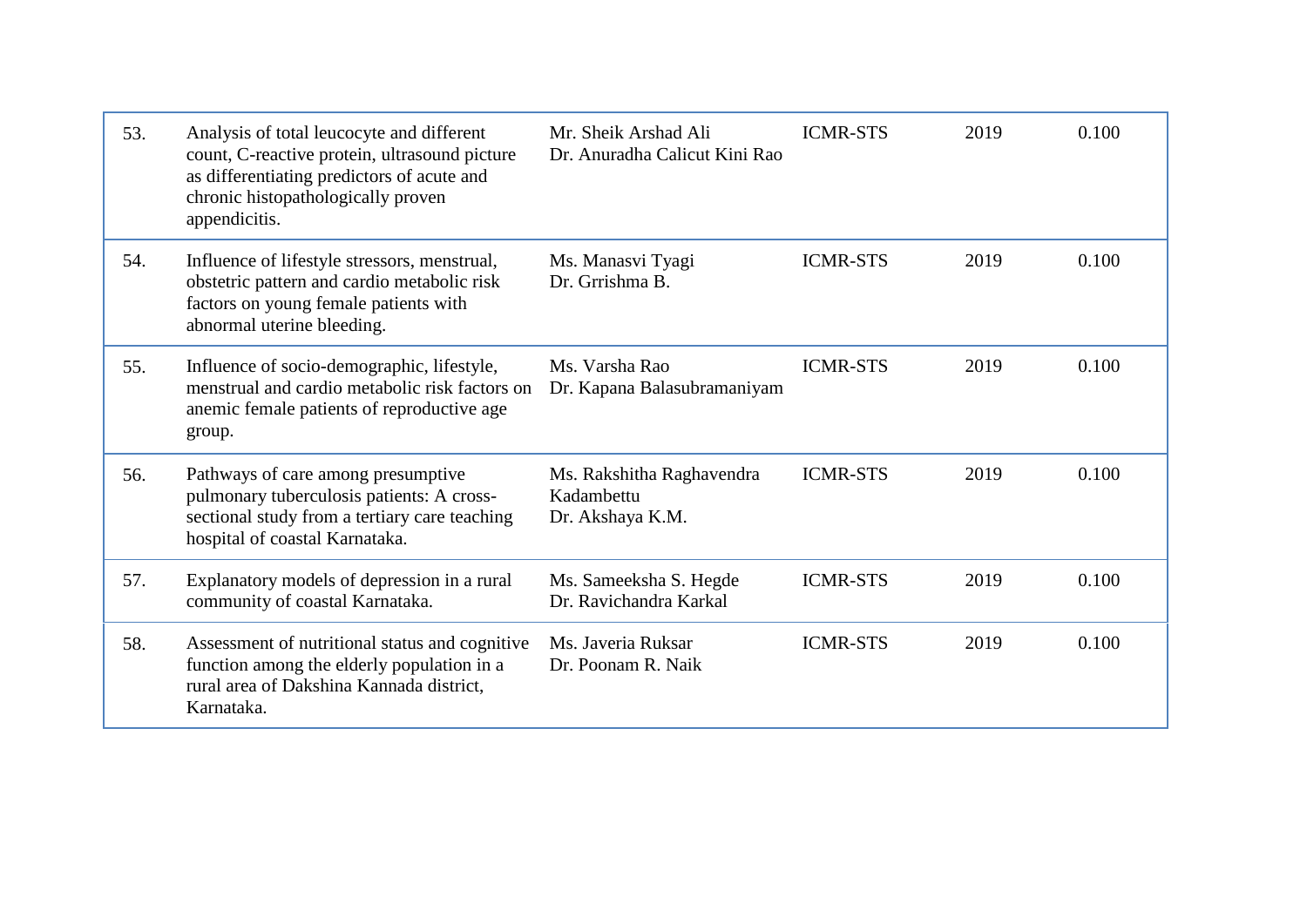| 53. | Analysis of total leucocyte and different<br>count, C-reactive protein, ultrasound picture<br>as differentiating predictors of acute and<br>chronic histopathologically proven<br>appendicitis. | Mr. Sheik Arshad Ali<br>Dr. Anuradha Calicut Kini Rao       | <b>ICMR-STS</b> | 2019 | 0.100 |
|-----|-------------------------------------------------------------------------------------------------------------------------------------------------------------------------------------------------|-------------------------------------------------------------|-----------------|------|-------|
| 54. | Influence of lifestyle stressors, menstrual,<br>obstetric pattern and cardio metabolic risk<br>factors on young female patients with<br>abnormal uterine bleeding.                              | Ms. Manasvi Tyagi<br>Dr. Grrishma B.                        | <b>ICMR-STS</b> | 2019 | 0.100 |
| 55. | Influence of socio-demographic, lifestyle,<br>menstrual and cardio metabolic risk factors on<br>anemic female patients of reproductive age<br>group.                                            | Ms. Varsha Rao<br>Dr. Kapana Balasubramaniyam               | <b>ICMR-STS</b> | 2019 | 0.100 |
| 56. | Pathways of care among presumptive<br>pulmonary tuberculosis patients: A cross-<br>sectional study from a tertiary care teaching<br>hospital of coastal Karnataka.                              | Ms. Rakshitha Raghavendra<br>Kadambettu<br>Dr. Akshaya K.M. | <b>ICMR-STS</b> | 2019 | 0.100 |
| 57. | Explanatory models of depression in a rural<br>community of coastal Karnataka.                                                                                                                  | Ms. Sameeksha S. Hegde<br>Dr. Ravichandra Karkal            | <b>ICMR-STS</b> | 2019 | 0.100 |
| 58. | Assessment of nutritional status and cognitive<br>function among the elderly population in a<br>rural area of Dakshina Kannada district,<br>Karnataka.                                          | Ms. Javeria Ruksar<br>Dr. Poonam R. Naik                    | <b>ICMR-STS</b> | 2019 | 0.100 |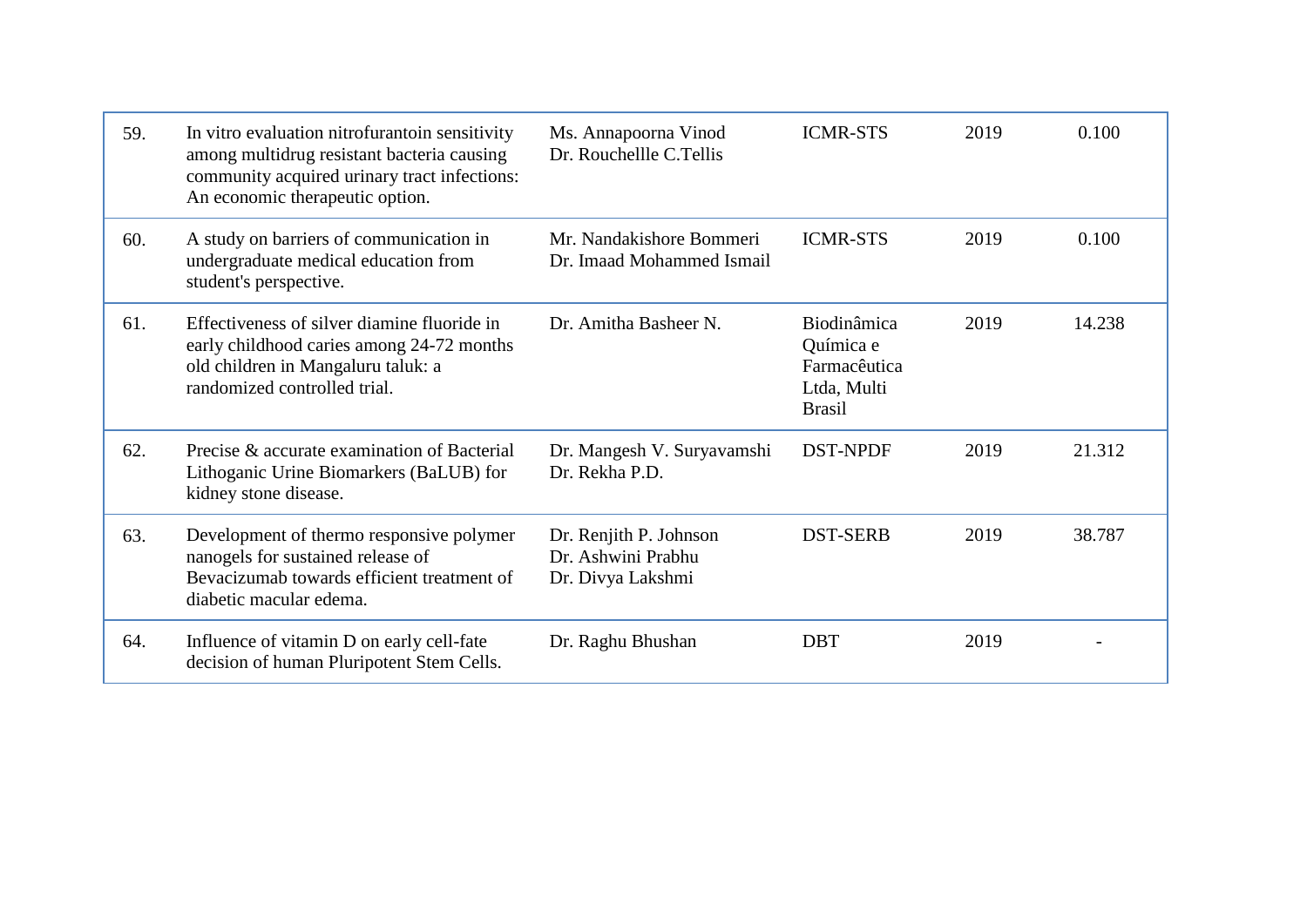| 59. | In vitro evaluation nitrofurantoin sensitivity<br>among multidrug resistant bacteria causing<br>community acquired urinary tract infections:<br>An economic therapeutic option. | Ms. Annapoorna Vinod<br>Dr. Rouchellle C.Tellis                   | <b>ICMR-STS</b>                                                          | 2019 | 0.100  |
|-----|---------------------------------------------------------------------------------------------------------------------------------------------------------------------------------|-------------------------------------------------------------------|--------------------------------------------------------------------------|------|--------|
| 60. | A study on barriers of communication in<br>undergraduate medical education from<br>student's perspective.                                                                       | Mr. Nandakishore Bommeri<br>Dr. Imaad Mohammed Ismail             | <b>ICMR-STS</b>                                                          | 2019 | 0.100  |
| 61. | Effectiveness of silver diamine fluoride in<br>early childhood caries among 24-72 months<br>old children in Mangaluru taluk: a<br>randomized controlled trial.                  | Dr. Amitha Basheer N.                                             | Biodinâmica<br>Química e<br>Farmacêutica<br>Ltda, Multi<br><b>Brasil</b> | 2019 | 14.238 |
| 62. | Precise & accurate examination of Bacterial<br>Lithoganic Urine Biomarkers (BaLUB) for<br>kidney stone disease.                                                                 | Dr. Mangesh V. Suryavamshi<br>Dr. Rekha P.D.                      | <b>DST-NPDF</b>                                                          | 2019 | 21.312 |
| 63. | Development of thermo responsive polymer<br>nanogels for sustained release of<br>Bevacizumab towards efficient treatment of<br>diabetic macular edema.                          | Dr. Renjith P. Johnson<br>Dr. Ashwini Prabhu<br>Dr. Divya Lakshmi | <b>DST-SERB</b>                                                          | 2019 | 38.787 |
| 64. | Influence of vitamin D on early cell-fate<br>decision of human Pluripotent Stem Cells.                                                                                          | Dr. Raghu Bhushan                                                 | <b>DBT</b>                                                               | 2019 |        |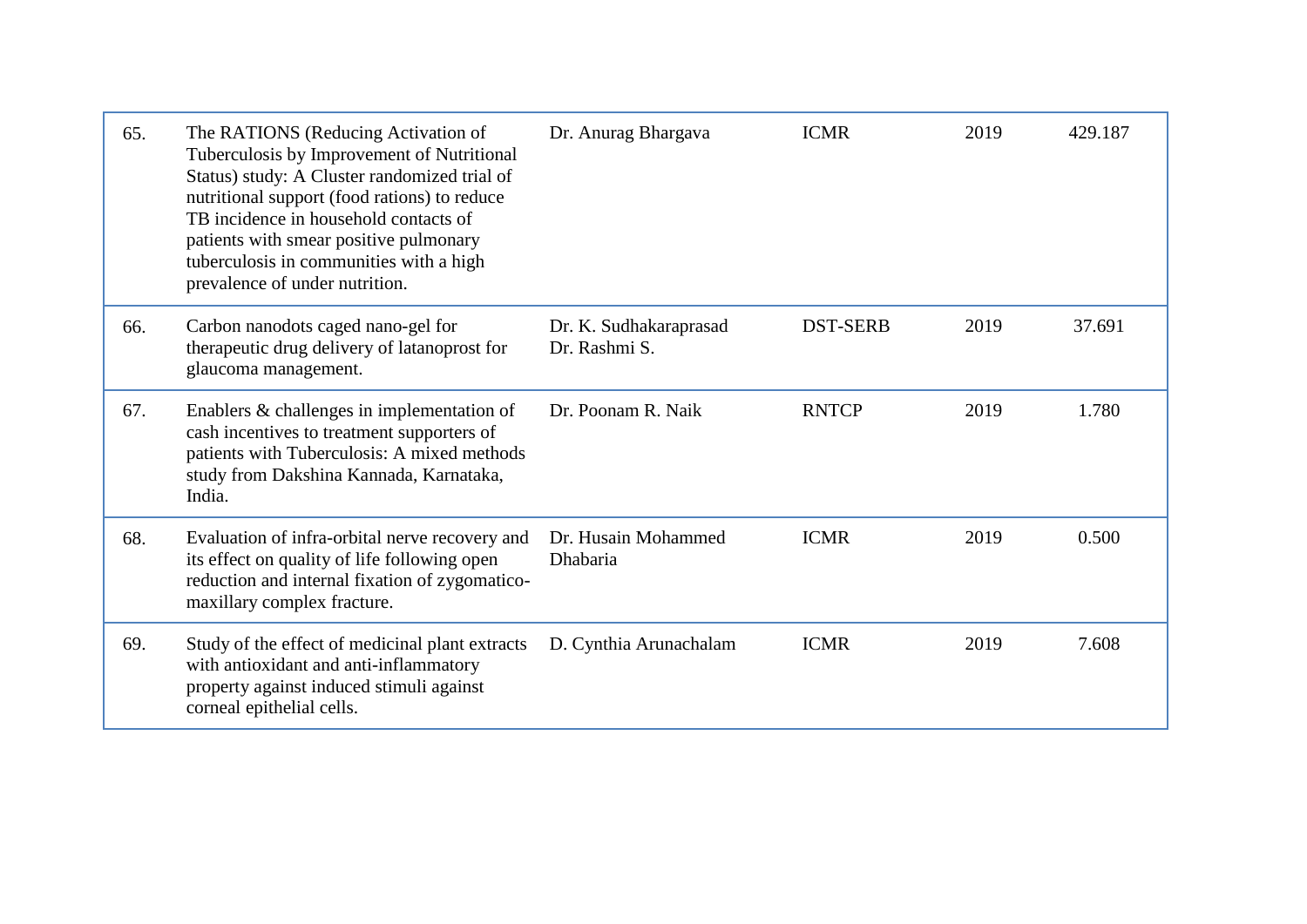| 65. | The RATIONS (Reducing Activation of<br>Tuberculosis by Improvement of Nutritional<br>Status) study: A Cluster randomized trial of<br>nutritional support (food rations) to reduce<br>TB incidence in household contacts of<br>patients with smear positive pulmonary<br>tuberculosis in communities with a high<br>prevalence of under nutrition. | Dr. Anurag Bhargava                     | <b>ICMR</b>     | 2019 | 429.187 |
|-----|---------------------------------------------------------------------------------------------------------------------------------------------------------------------------------------------------------------------------------------------------------------------------------------------------------------------------------------------------|-----------------------------------------|-----------------|------|---------|
| 66. | Carbon nanodots caged nano-gel for<br>therapeutic drug delivery of latanoprost for<br>glaucoma management.                                                                                                                                                                                                                                        | Dr. K. Sudhakaraprasad<br>Dr. Rashmi S. | <b>DST-SERB</b> | 2019 | 37.691  |
| 67. | Enablers & challenges in implementation of<br>cash incentives to treatment supporters of<br>patients with Tuberculosis: A mixed methods<br>study from Dakshina Kannada, Karnataka,<br>India.                                                                                                                                                      | Dr. Poonam R. Naik                      | <b>RNTCP</b>    | 2019 | 1.780   |
| 68. | Evaluation of infra-orbital nerve recovery and<br>its effect on quality of life following open<br>reduction and internal fixation of zygomatico-<br>maxillary complex fracture.                                                                                                                                                                   | Dr. Husain Mohammed<br>Dhabaria         | <b>ICMR</b>     | 2019 | 0.500   |
| 69. | Study of the effect of medicinal plant extracts<br>with antioxidant and anti-inflammatory<br>property against induced stimuli against<br>corneal epithelial cells.                                                                                                                                                                                | D. Cynthia Arunachalam                  | <b>ICMR</b>     | 2019 | 7.608   |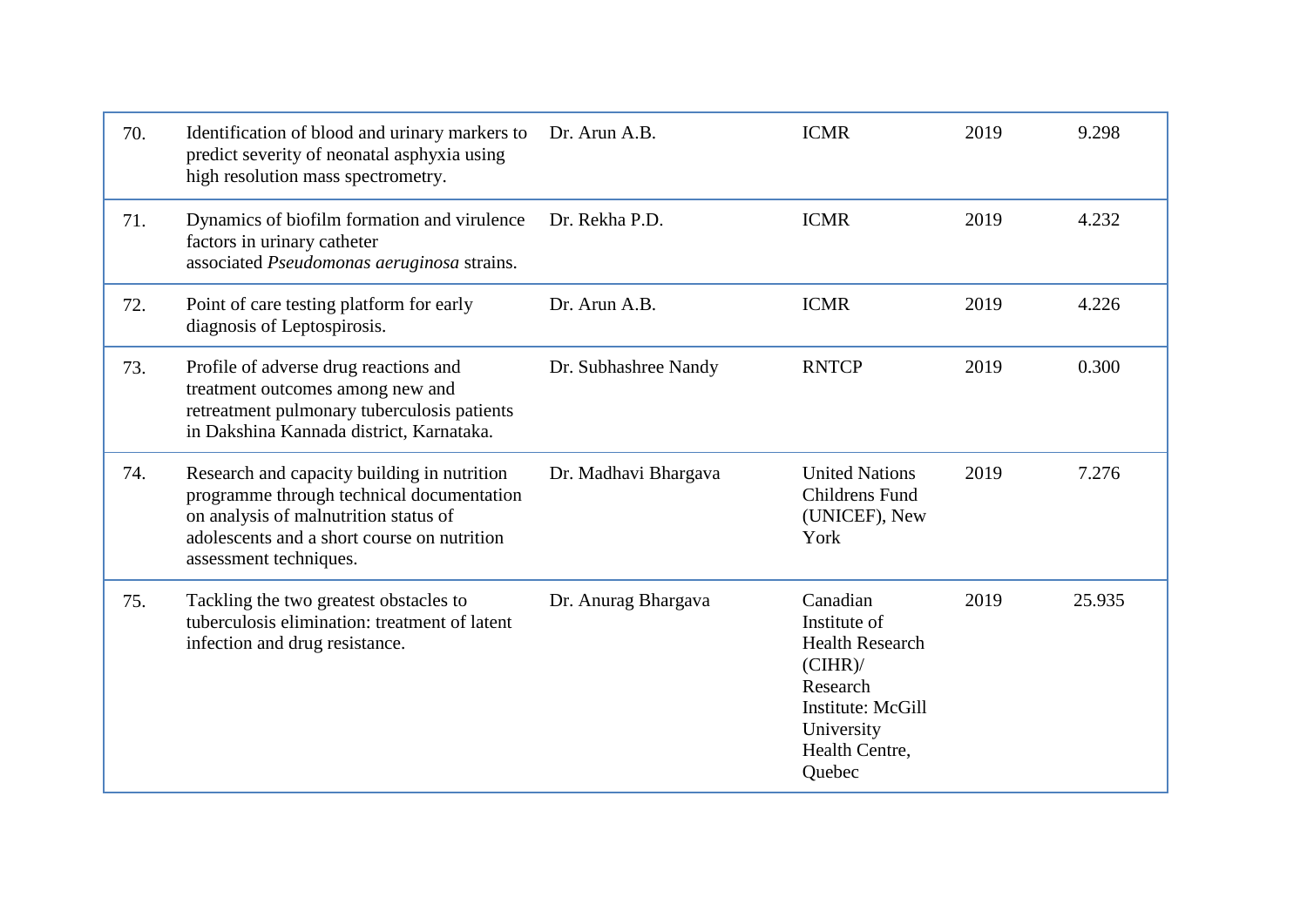| 70. | Identification of blood and urinary markers to<br>predict severity of neonatal asphyxia using<br>high resolution mass spectrometry.                                                                        | Dr. Arun A.B.        | <b>ICMR</b>                                                                                                                                        | 2019 | 9.298  |
|-----|------------------------------------------------------------------------------------------------------------------------------------------------------------------------------------------------------------|----------------------|----------------------------------------------------------------------------------------------------------------------------------------------------|------|--------|
| 71. | Dynamics of biofilm formation and virulence<br>factors in urinary catheter<br>associated Pseudomonas aeruginosa strains.                                                                                   | Dr. Rekha P.D.       | <b>ICMR</b>                                                                                                                                        | 2019 | 4.232  |
| 72. | Point of care testing platform for early<br>diagnosis of Leptospirosis.                                                                                                                                    | Dr. Arun A.B.        | <b>ICMR</b>                                                                                                                                        | 2019 | 4.226  |
| 73. | Profile of adverse drug reactions and<br>treatment outcomes among new and<br>retreatment pulmonary tuberculosis patients<br>in Dakshina Kannada district, Karnataka.                                       | Dr. Subhashree Nandy | <b>RNTCP</b>                                                                                                                                       | 2019 | 0.300  |
| 74. | Research and capacity building in nutrition<br>programme through technical documentation<br>on analysis of malnutrition status of<br>adolescents and a short course on nutrition<br>assessment techniques. | Dr. Madhavi Bhargava | <b>United Nations</b><br><b>Childrens Fund</b><br>(UNICEF), New<br>York                                                                            | 2019 | 7.276  |
| 75. | Tackling the two greatest obstacles to<br>tuberculosis elimination: treatment of latent<br>infection and drug resistance.                                                                                  | Dr. Anurag Bhargava  | Canadian<br>Institute of<br><b>Health Research</b><br>$(CIHR)$ /<br>Research<br><b>Institute: McGill</b><br>University<br>Health Centre,<br>Quebec | 2019 | 25.935 |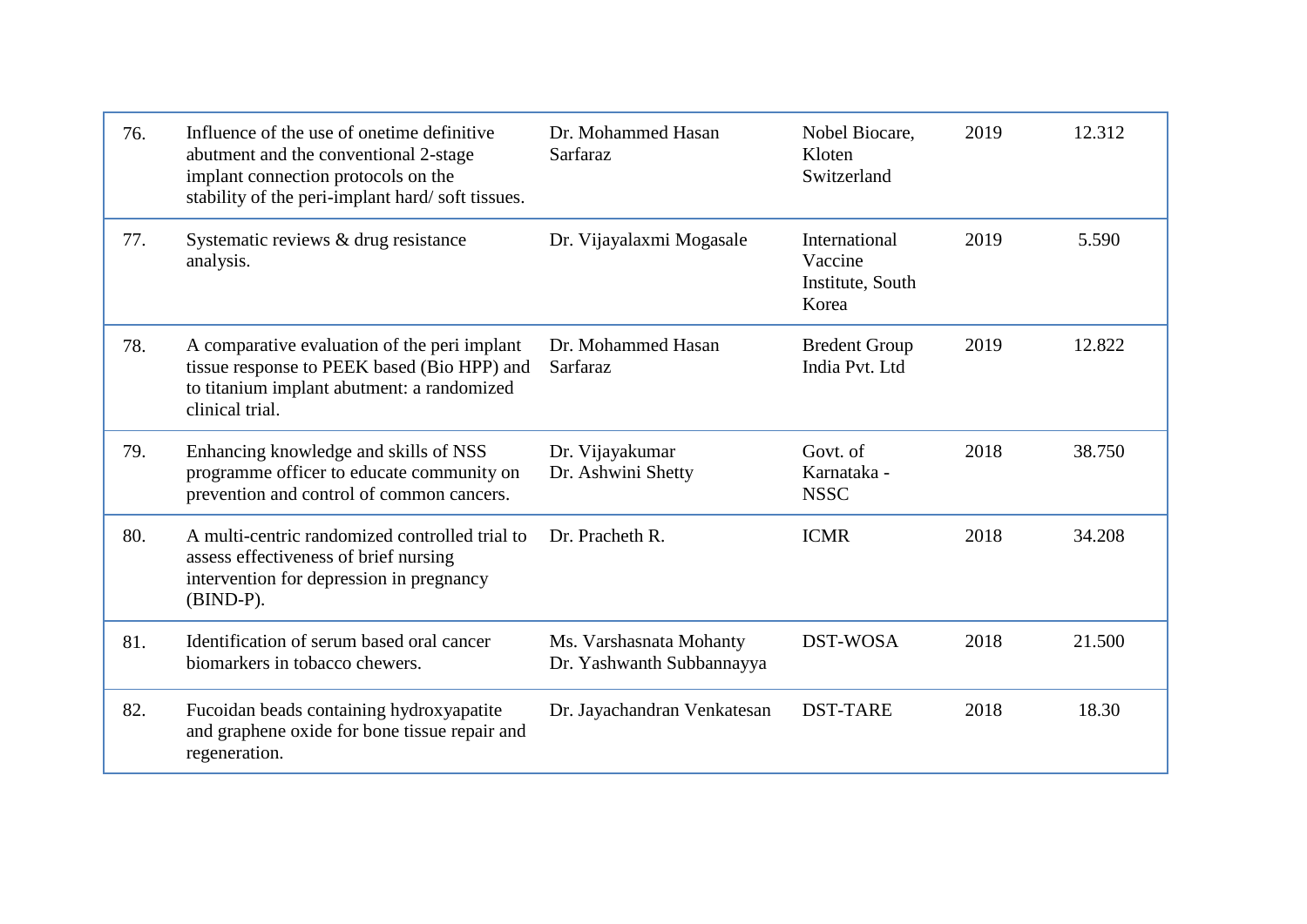| 76. | Influence of the use of onetime definitive<br>abutment and the conventional 2-stage<br>implant connection protocols on the<br>stability of the peri-implant hard/soft tissues. | Dr. Mohammed Hasan<br>Sarfaraz                       | Nobel Biocare,<br>Kloten<br>Switzerland               | 2019 | 12.312 |
|-----|--------------------------------------------------------------------------------------------------------------------------------------------------------------------------------|------------------------------------------------------|-------------------------------------------------------|------|--------|
| 77. | Systematic reviews & drug resistance<br>analysis.                                                                                                                              | Dr. Vijayalaxmi Mogasale                             | International<br>Vaccine<br>Institute, South<br>Korea | 2019 | 5.590  |
| 78. | A comparative evaluation of the peri implant<br>tissue response to PEEK based (Bio HPP) and<br>to titanium implant abutment: a randomized<br>clinical trial.                   | Dr. Mohammed Hasan<br>Sarfaraz                       | <b>Bredent Group</b><br>India Pvt. Ltd                | 2019 | 12.822 |
| 79. | Enhancing knowledge and skills of NSS<br>programme officer to educate community on<br>prevention and control of common cancers.                                                | Dr. Vijayakumar<br>Dr. Ashwini Shetty                | Govt. of<br>Karnataka -<br><b>NSSC</b>                | 2018 | 38.750 |
| 80. | A multi-centric randomized controlled trial to<br>assess effectiveness of brief nursing<br>intervention for depression in pregnancy<br>$(BIND-P).$                             | Dr. Pracheth R.                                      | <b>ICMR</b>                                           | 2018 | 34.208 |
| 81. | Identification of serum based oral cancer<br>biomarkers in tobacco chewers.                                                                                                    | Ms. Varshasnata Mohanty<br>Dr. Yashwanth Subbannayya | <b>DST-WOSA</b>                                       | 2018 | 21.500 |
| 82. | Fucoidan beads containing hydroxyapatite<br>and graphene oxide for bone tissue repair and<br>regeneration.                                                                     | Dr. Jayachandran Venkatesan                          | <b>DST-TARE</b>                                       | 2018 | 18.30  |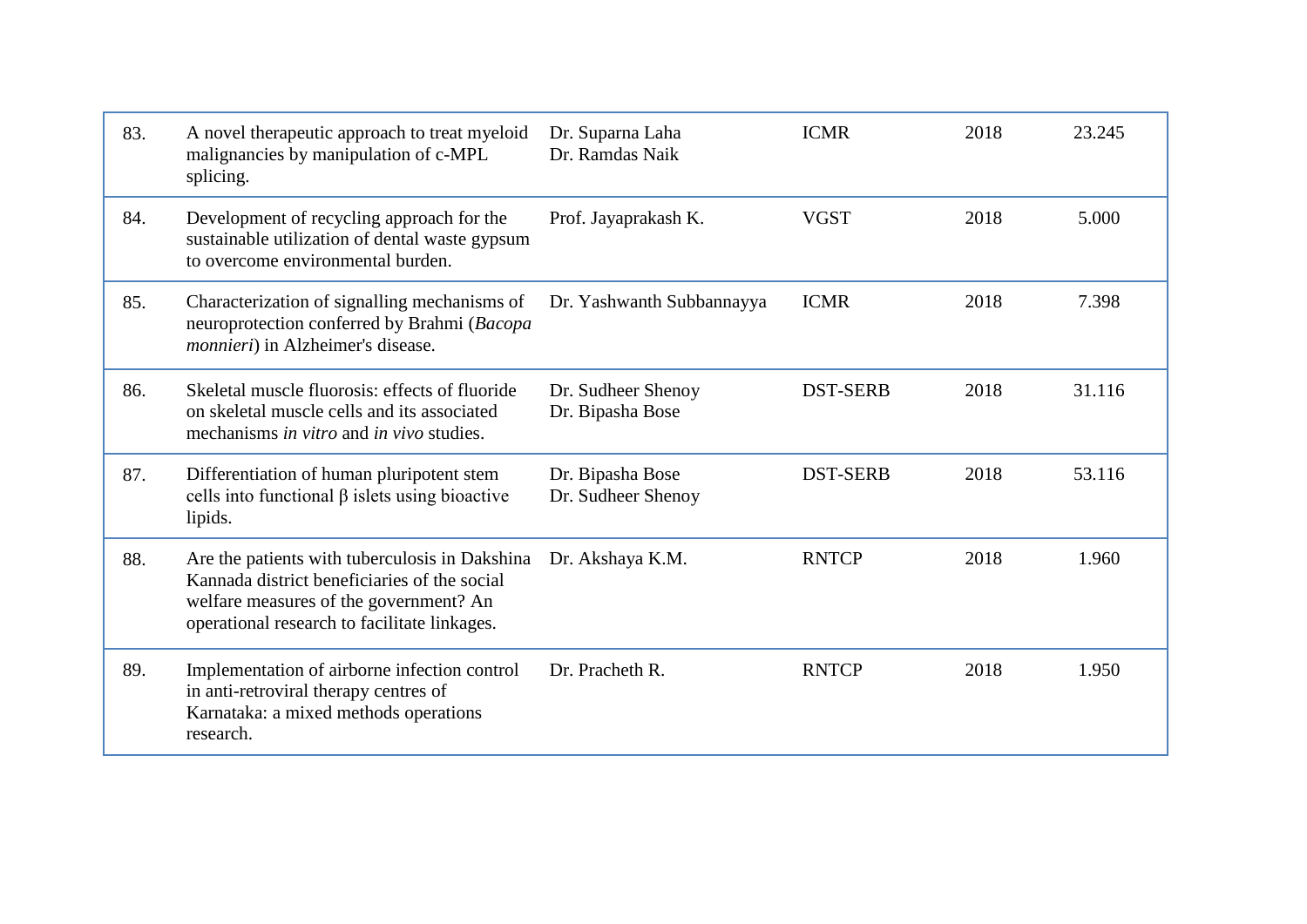| 83. | A novel therapeutic approach to treat myeloid<br>malignancies by manipulation of c-MPL<br>splicing.                                                                                      | Dr. Suparna Laha<br>Dr. Ramdas Naik    | <b>ICMR</b>     | 2018 | 23.245 |
|-----|------------------------------------------------------------------------------------------------------------------------------------------------------------------------------------------|----------------------------------------|-----------------|------|--------|
| 84. | Development of recycling approach for the<br>sustainable utilization of dental waste gypsum<br>to overcome environmental burden.                                                         | Prof. Jayaprakash K.                   | <b>VGST</b>     | 2018 | 5.000  |
| 85. | Characterization of signalling mechanisms of<br>neuroprotection conferred by Brahmi (Bacopa<br>monnieri) in Alzheimer's disease.                                                         | Dr. Yashwanth Subbannayya              | <b>ICMR</b>     | 2018 | 7.398  |
| 86. | Skeletal muscle fluorosis: effects of fluoride<br>on skeletal muscle cells and its associated<br>mechanisms in vitro and in vivo studies.                                                | Dr. Sudheer Shenoy<br>Dr. Bipasha Bose | <b>DST-SERB</b> | 2018 | 31.116 |
| 87. | Differentiation of human pluripotent stem<br>cells into functional $\beta$ islets using bioactive<br>lipids.                                                                             | Dr. Bipasha Bose<br>Dr. Sudheer Shenoy | <b>DST-SERB</b> | 2018 | 53.116 |
| 88. | Are the patients with tuberculosis in Dakshina<br>Kannada district beneficiaries of the social<br>welfare measures of the government? An<br>operational research to facilitate linkages. | Dr. Akshaya K.M.                       | <b>RNTCP</b>    | 2018 | 1.960  |
| 89. | Implementation of airborne infection control<br>in anti-retroviral therapy centres of<br>Karnataka: a mixed methods operations<br>research.                                              | Dr. Pracheth R.                        | <b>RNTCP</b>    | 2018 | 1.950  |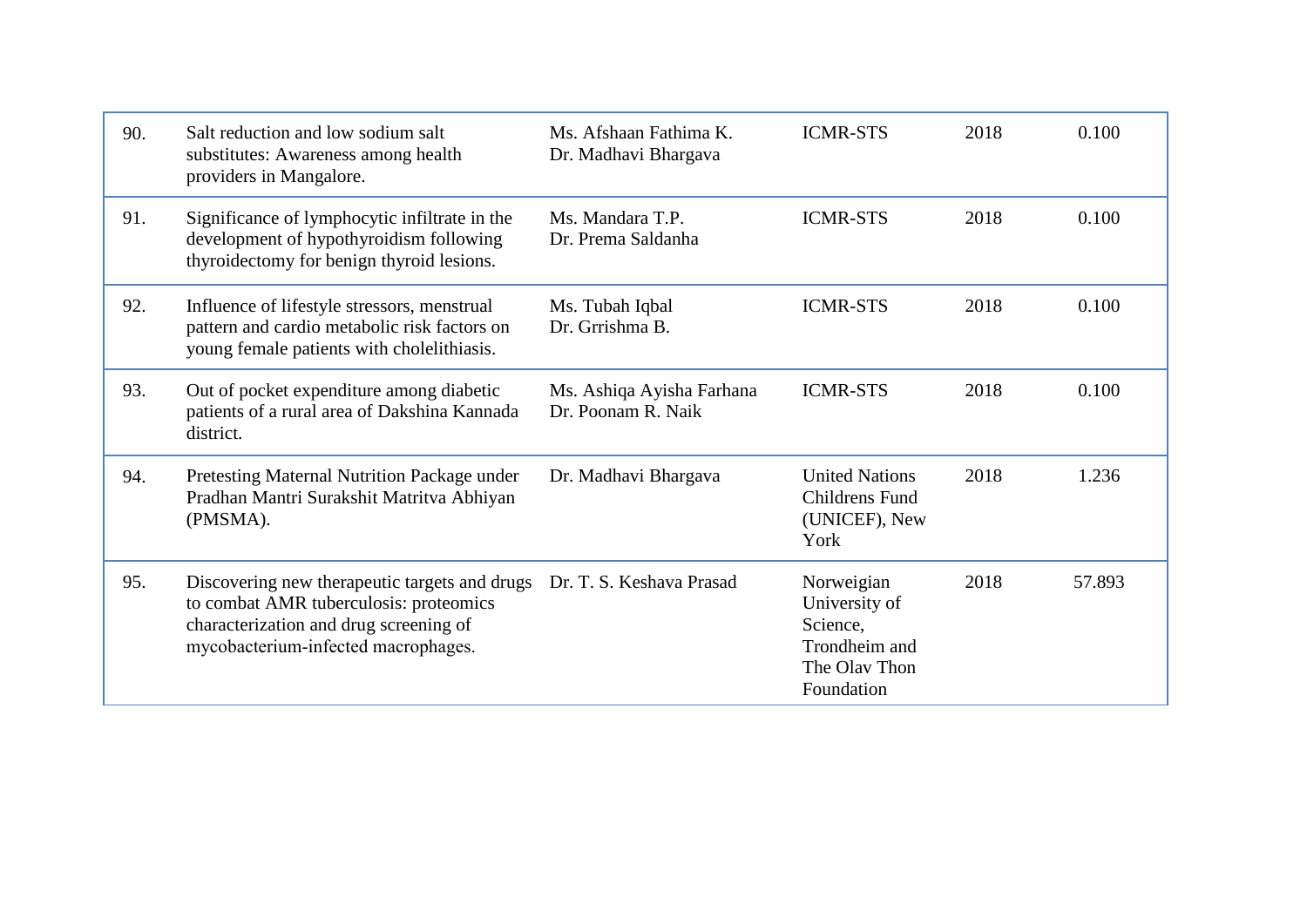| 90. | Salt reduction and low sodium salt<br>substitutes: Awareness among health<br>providers in Mangalore.                                                                                              | Ms. Afshaan Fathima K.<br>Dr. Madhavi Bhargava  | <b>ICMR-STS</b>                                                                         | 2018 | 0.100  |
|-----|---------------------------------------------------------------------------------------------------------------------------------------------------------------------------------------------------|-------------------------------------------------|-----------------------------------------------------------------------------------------|------|--------|
| 91. | Significance of lymphocytic infiltrate in the<br>development of hypothyroidism following<br>thyroidectomy for benign thyroid lesions.                                                             | Ms. Mandara T.P.<br>Dr. Prema Saldanha          | <b>ICMR-STS</b>                                                                         | 2018 | 0.100  |
| 92. | Influence of lifestyle stressors, menstrual<br>pattern and cardio metabolic risk factors on<br>young female patients with cholelithiasis.                                                         | Ms. Tubah Iqbal<br>Dr. Grrishma B.              | <b>ICMR-STS</b>                                                                         | 2018 | 0.100  |
| 93. | Out of pocket expenditure among diabetic<br>patients of a rural area of Dakshina Kannada<br>district.                                                                                             | Ms. Ashiqa Ayisha Farhana<br>Dr. Poonam R. Naik | <b>ICMR-STS</b>                                                                         | 2018 | 0.100  |
| 94. | Pretesting Maternal Nutrition Package under<br>Pradhan Mantri Surakshit Matritva Abhiyan<br>(PMSMA).                                                                                              | Dr. Madhavi Bhargava                            | <b>United Nations</b><br><b>Childrens Fund</b><br>(UNICEF), New<br>York                 | 2018 | 1.236  |
| 95. | Discovering new therapeutic targets and drugs Dr. T. S. Keshava Prasad<br>to combat AMR tuberculosis: proteomics<br>characterization and drug screening of<br>mycobacterium-infected macrophages. |                                                 | Norweigian<br>University of<br>Science,<br>Trondheim and<br>The Olav Thon<br>Foundation | 2018 | 57.893 |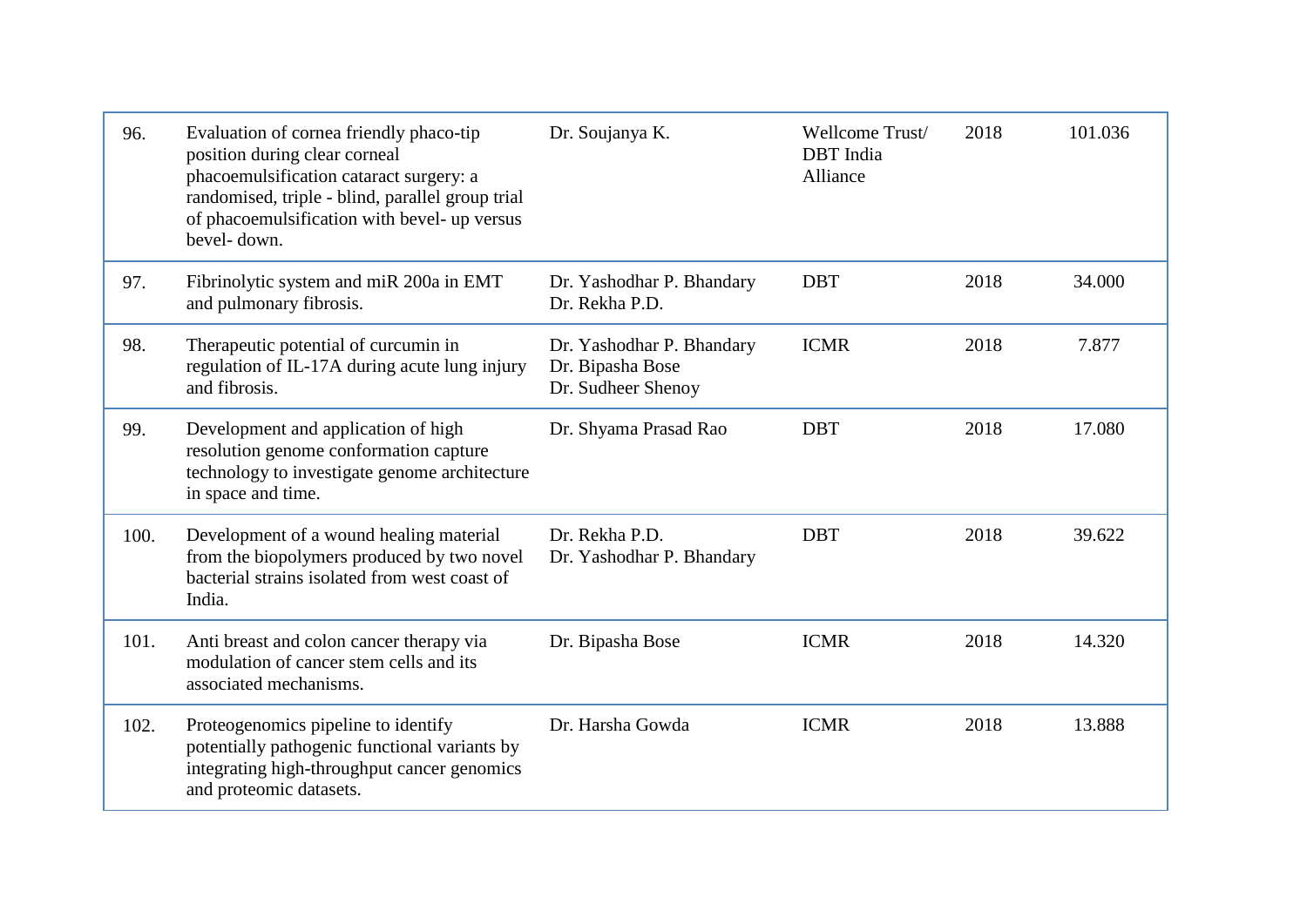| 96.  | Evaluation of cornea friendly phaco-tip<br>position during clear corneal<br>phacoemulsification cataract surgery: a<br>randomised, triple - blind, parallel group trial<br>of phacoemulsification with bevel- up versus<br>bevel-down. | Dr. Soujanya K.                                                     | Wellcome Trust/<br><b>DBT</b> India<br>Alliance | 2018 | 101.036 |
|------|----------------------------------------------------------------------------------------------------------------------------------------------------------------------------------------------------------------------------------------|---------------------------------------------------------------------|-------------------------------------------------|------|---------|
| 97.  | Fibrinolytic system and miR 200a in EMT<br>and pulmonary fibrosis.                                                                                                                                                                     | Dr. Yashodhar P. Bhandary<br>Dr. Rekha P.D.                         | <b>DBT</b>                                      | 2018 | 34.000  |
| 98.  | Therapeutic potential of curcumin in<br>regulation of IL-17A during acute lung injury<br>and fibrosis.                                                                                                                                 | Dr. Yashodhar P. Bhandary<br>Dr. Bipasha Bose<br>Dr. Sudheer Shenoy | <b>ICMR</b>                                     | 2018 | 7.877   |
| 99.  | Development and application of high<br>resolution genome conformation capture<br>technology to investigate genome architecture<br>in space and time.                                                                                   | Dr. Shyama Prasad Rao                                               | <b>DBT</b>                                      | 2018 | 17.080  |
| 100. | Development of a wound healing material<br>from the biopolymers produced by two novel<br>bacterial strains isolated from west coast of<br>India.                                                                                       | Dr. Rekha P.D.<br>Dr. Yashodhar P. Bhandary                         | <b>DBT</b>                                      | 2018 | 39.622  |
| 101. | Anti breast and colon cancer therapy via<br>modulation of cancer stem cells and its<br>associated mechanisms.                                                                                                                          | Dr. Bipasha Bose                                                    | <b>ICMR</b>                                     | 2018 | 14.320  |
| 102. | Proteogenomics pipeline to identify<br>potentially pathogenic functional variants by<br>integrating high-throughput cancer genomics<br>and proteomic datasets.                                                                         | Dr. Harsha Gowda                                                    | <b>ICMR</b>                                     | 2018 | 13.888  |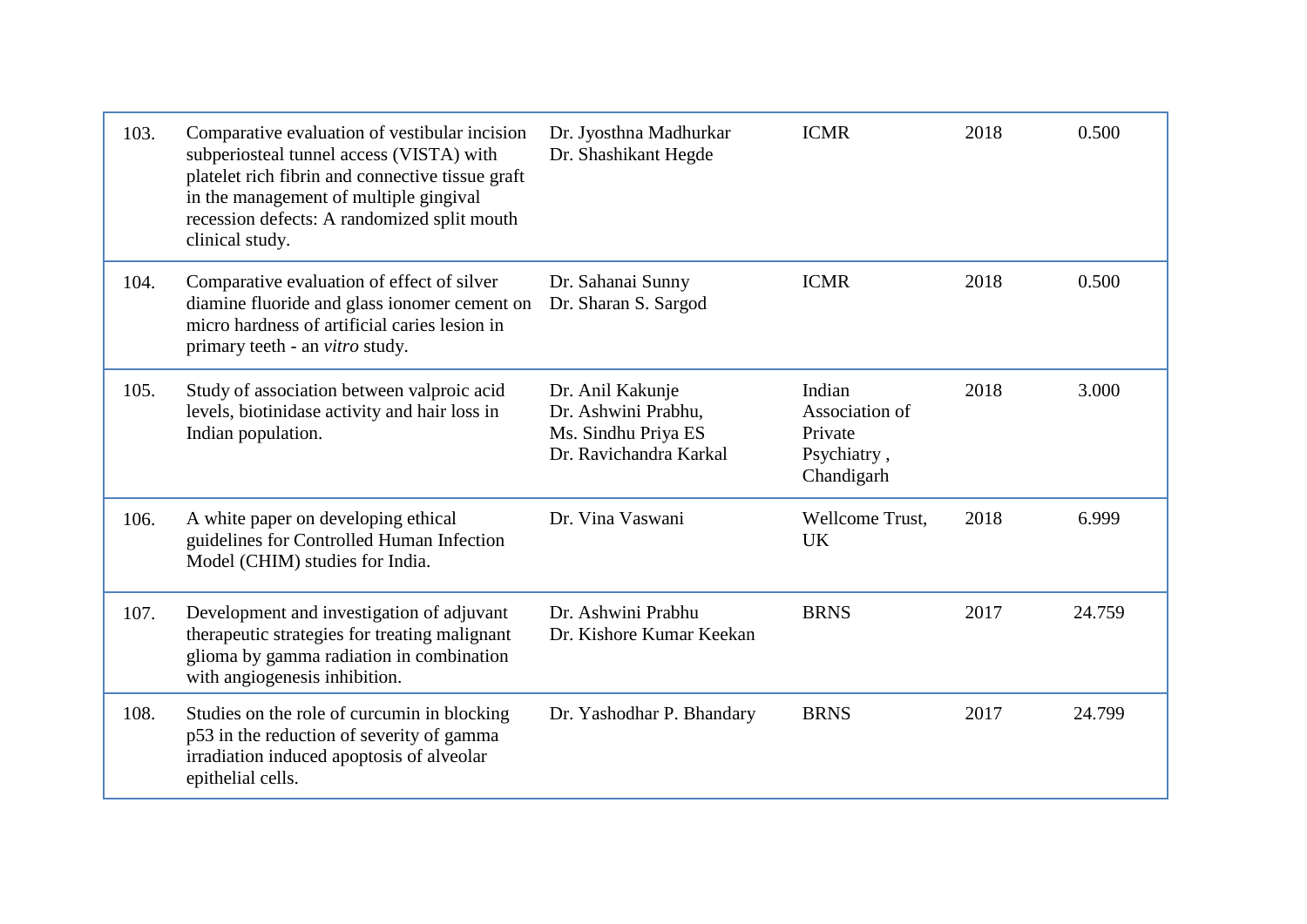| 103. | Comparative evaluation of vestibular incision<br>subperiosteal tunnel access (VISTA) with<br>platelet rich fibrin and connective tissue graft<br>in the management of multiple gingival<br>recession defects: A randomized split mouth<br>clinical study. | Dr. Jyosthna Madhurkar<br>Dr. Shashikant Hegde                                           | <b>ICMR</b>                                                      | 2018 | 0.500  |
|------|-----------------------------------------------------------------------------------------------------------------------------------------------------------------------------------------------------------------------------------------------------------|------------------------------------------------------------------------------------------|------------------------------------------------------------------|------|--------|
| 104. | Comparative evaluation of effect of silver<br>diamine fluoride and glass ionomer cement on<br>micro hardness of artificial caries lesion in<br>primary teeth - an <i>vitro</i> study.                                                                     | Dr. Sahanai Sunny<br>Dr. Sharan S. Sargod                                                | <b>ICMR</b>                                                      | 2018 | 0.500  |
| 105. | Study of association between valproic acid<br>levels, biotinidase activity and hair loss in<br>Indian population.                                                                                                                                         | Dr. Anil Kakunje<br>Dr. Ashwini Prabhu,<br>Ms. Sindhu Priya ES<br>Dr. Ravichandra Karkal | Indian<br>Association of<br>Private<br>Psychiatry,<br>Chandigarh | 2018 | 3.000  |
| 106. | A white paper on developing ethical<br>guidelines for Controlled Human Infection<br>Model (CHIM) studies for India.                                                                                                                                       | Dr. Vina Vaswani                                                                         | Wellcome Trust,<br><b>UK</b>                                     | 2018 | 6.999  |
| 107. | Development and investigation of adjuvant<br>therapeutic strategies for treating malignant<br>glioma by gamma radiation in combination<br>with angiogenesis inhibition.                                                                                   | Dr. Ashwini Prabhu<br>Dr. Kishore Kumar Keekan                                           | <b>BRNS</b>                                                      | 2017 | 24.759 |
| 108. | Studies on the role of curcumin in blocking<br>p53 in the reduction of severity of gamma<br>irradiation induced apoptosis of alveolar<br>epithelial cells.                                                                                                | Dr. Yashodhar P. Bhandary                                                                | <b>BRNS</b>                                                      | 2017 | 24.799 |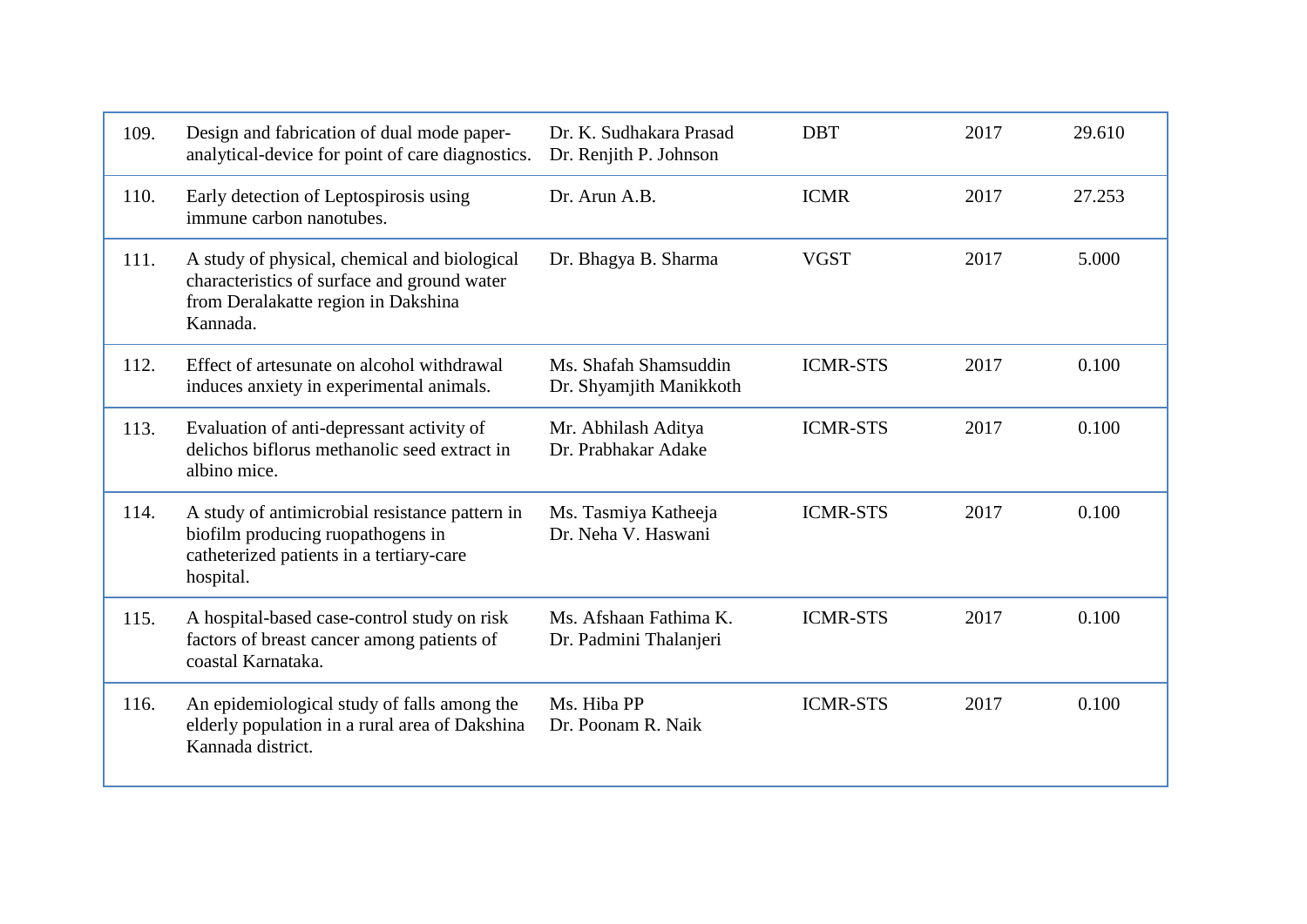| 109. | Design and fabrication of dual mode paper-<br>analytical-device for point of care diagnostics.                                                 | Dr. K. Sudhakara Prasad<br>Dr. Renjith P. Johnson | <b>DBT</b>      | 2017 | 29.610 |
|------|------------------------------------------------------------------------------------------------------------------------------------------------|---------------------------------------------------|-----------------|------|--------|
| 110. | Early detection of Leptospirosis using<br>immune carbon nanotubes.                                                                             | Dr. Arun A.B.                                     | <b>ICMR</b>     | 2017 | 27.253 |
| 111. | A study of physical, chemical and biological<br>characteristics of surface and ground water<br>from Deralakatte region in Dakshina<br>Kannada. | Dr. Bhagya B. Sharma                              | <b>VGST</b>     | 2017 | 5.000  |
| 112. | Effect of artesunate on alcohol withdrawal<br>induces anxiety in experimental animals.                                                         | Ms. Shafah Shamsuddin<br>Dr. Shyamjith Manikkoth  | <b>ICMR-STS</b> | 2017 | 0.100  |
| 113. | Evaluation of anti-depressant activity of<br>delichos biflorus methanolic seed extract in<br>albino mice.                                      | Mr. Abhilash Aditya<br>Dr. Prabhakar Adake        | <b>ICMR-STS</b> | 2017 | 0.100  |
| 114. | A study of antimicrobial resistance pattern in<br>biofilm producing ruopathogens in<br>catheterized patients in a tertiary-care<br>hospital.   | Ms. Tasmiya Katheeja<br>Dr. Neha V. Haswani       | <b>ICMR-STS</b> | 2017 | 0.100  |
| 115. | A hospital-based case-control study on risk<br>factors of breast cancer among patients of<br>coastal Karnataka.                                | Ms. Afshaan Fathima K.<br>Dr. Padmini Thalanjeri  | <b>ICMR-STS</b> | 2017 | 0.100  |
| 116. | An epidemiological study of falls among the<br>elderly population in a rural area of Dakshina<br>Kannada district.                             | Ms. Hiba PP<br>Dr. Poonam R. Naik                 | <b>ICMR-STS</b> | 2017 | 0.100  |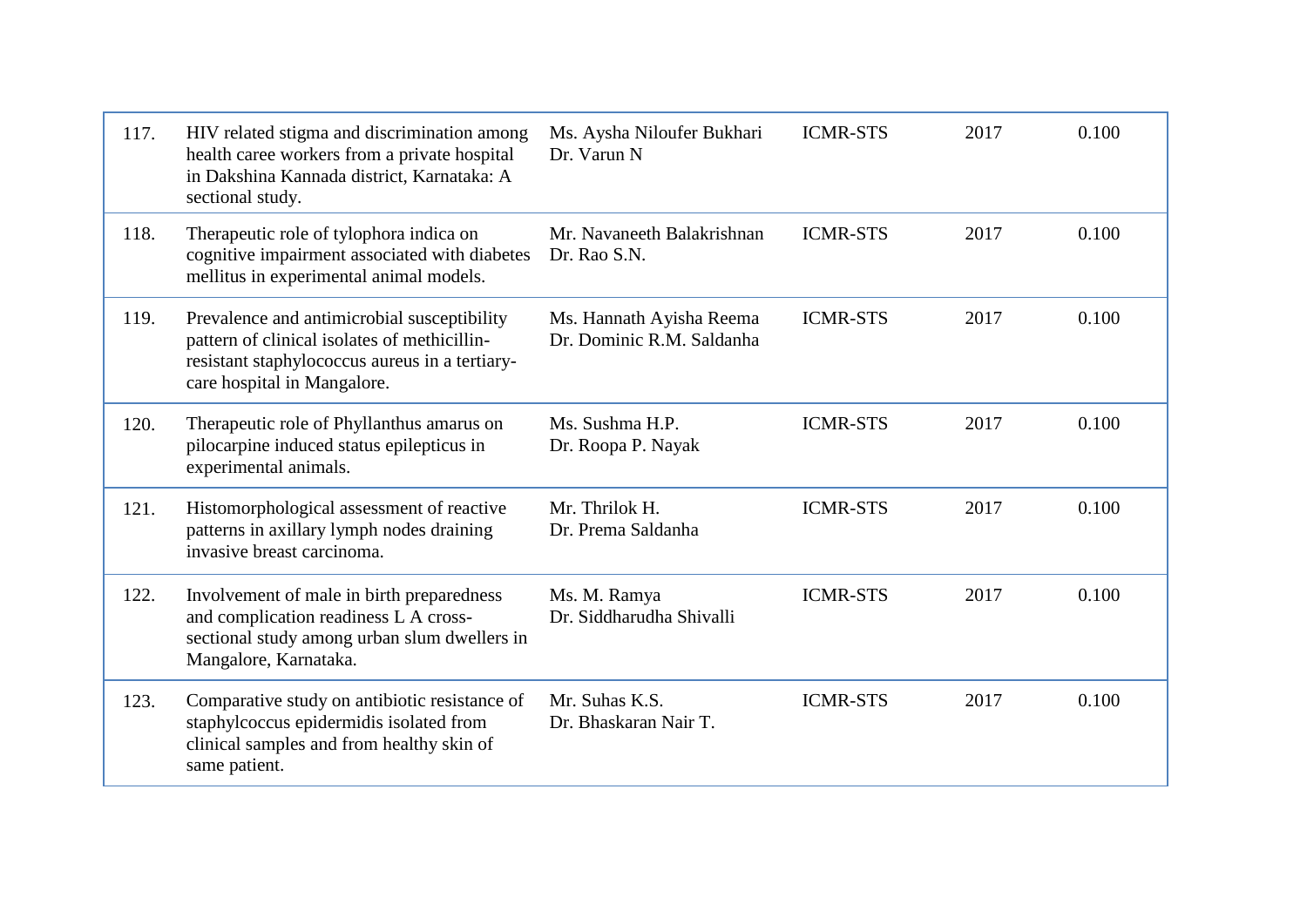| 117. | HIV related stigma and discrimination among<br>health caree workers from a private hospital<br>in Dakshina Kannada district, Karnataka: A<br>sectional study.                | Ms. Aysha Niloufer Bukhari<br>Dr. Varun N             | <b>ICMR-STS</b> | 2017 | 0.100 |
|------|------------------------------------------------------------------------------------------------------------------------------------------------------------------------------|-------------------------------------------------------|-----------------|------|-------|
| 118. | Therapeutic role of tylophora indica on<br>cognitive impairment associated with diabetes<br>mellitus in experimental animal models.                                          | Mr. Navaneeth Balakrishnan<br>Dr. Rao S.N.            | <b>ICMR-STS</b> | 2017 | 0.100 |
| 119. | Prevalence and antimicrobial susceptibility<br>pattern of clinical isolates of methicillin-<br>resistant staphylococcus aureus in a tertiary-<br>care hospital in Mangalore. | Ms. Hannath Ayisha Reema<br>Dr. Dominic R.M. Saldanha | <b>ICMR-STS</b> | 2017 | 0.100 |
| 120. | Therapeutic role of Phyllanthus amarus on<br>pilocarpine induced status epilepticus in<br>experimental animals.                                                              | Ms. Sushma H.P.<br>Dr. Roopa P. Nayak                 | <b>ICMR-STS</b> | 2017 | 0.100 |
| 121. | Histomorphological assessment of reactive<br>patterns in axillary lymph nodes draining<br>invasive breast carcinoma.                                                         | Mr. Thrilok H.<br>Dr. Prema Saldanha                  | <b>ICMR-STS</b> | 2017 | 0.100 |
| 122. | Involvement of male in birth preparedness<br>and complication readiness L A cross-<br>sectional study among urban slum dwellers in<br>Mangalore, Karnataka.                  | Ms. M. Ramya<br>Dr. Siddharudha Shivalli              | <b>ICMR-STS</b> | 2017 | 0.100 |
| 123. | Comparative study on antibiotic resistance of<br>staphylcoccus epidermidis isolated from<br>clinical samples and from healthy skin of<br>same patient.                       | Mr. Suhas K.S.<br>Dr. Bhaskaran Nair T.               | <b>ICMR-STS</b> | 2017 | 0.100 |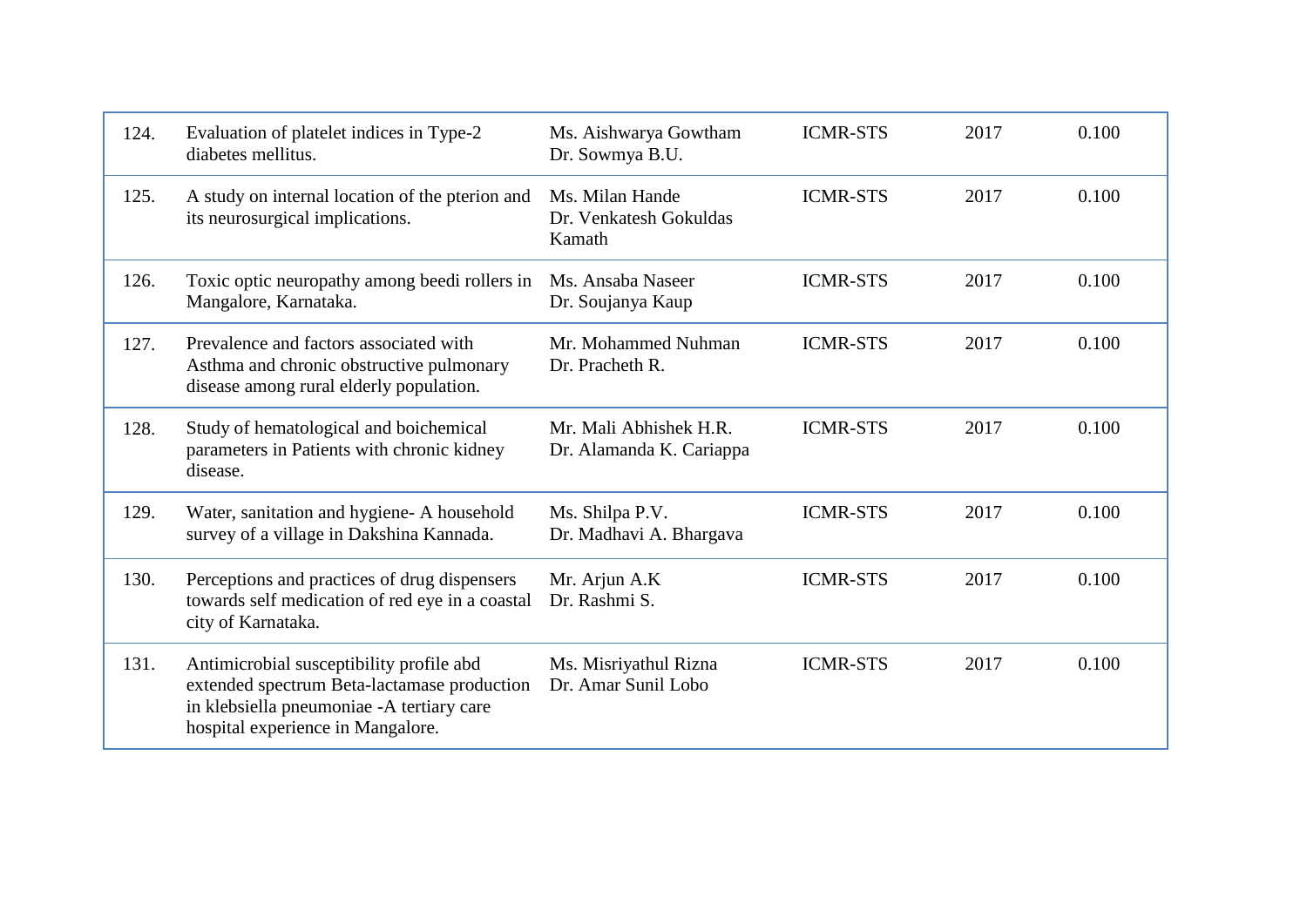| 124. | Evaluation of platelet indices in Type-2<br>diabetes mellitus.                                                                                                            | Ms. Aishwarya Gowtham<br>Dr. Sowmya B.U.            | <b>ICMR-STS</b> | 2017 | 0.100 |
|------|---------------------------------------------------------------------------------------------------------------------------------------------------------------------------|-----------------------------------------------------|-----------------|------|-------|
| 125. | A study on internal location of the pterion and<br>its neurosurgical implications.                                                                                        | Ms. Milan Hande<br>Dr. Venkatesh Gokuldas<br>Kamath | <b>ICMR-STS</b> | 2017 | 0.100 |
| 126. | Toxic optic neuropathy among beedi rollers in<br>Mangalore, Karnataka.                                                                                                    | Ms. Ansaba Naseer<br>Dr. Soujanya Kaup              | <b>ICMR-STS</b> | 2017 | 0.100 |
| 127. | Prevalence and factors associated with<br>Asthma and chronic obstructive pulmonary<br>disease among rural elderly population.                                             | Mr. Mohammed Nuhman<br>Dr. Pracheth R.              | <b>ICMR-STS</b> | 2017 | 0.100 |
| 128. | Study of hematological and boichemical<br>parameters in Patients with chronic kidney<br>disease.                                                                          | Mr. Mali Abhishek H.R.<br>Dr. Alamanda K. Cariappa  | <b>ICMR-STS</b> | 2017 | 0.100 |
| 129. | Water, sanitation and hygiene-A household<br>survey of a village in Dakshina Kannada.                                                                                     | Ms. Shilpa P.V.<br>Dr. Madhavi A. Bhargava          | <b>ICMR-STS</b> | 2017 | 0.100 |
| 130. | Perceptions and practices of drug dispensers<br>towards self medication of red eye in a coastal<br>city of Karnataka.                                                     | Mr. Arjun A.K<br>Dr. Rashmi S.                      | <b>ICMR-STS</b> | 2017 | 0.100 |
| 131. | Antimicrobial susceptibility profile abd<br>extended spectrum Beta-lactamase production<br>in klebsiella pneumoniae -A tertiary care<br>hospital experience in Mangalore. | Ms. Misriyathul Rizna<br>Dr. Amar Sunil Lobo        | <b>ICMR-STS</b> | 2017 | 0.100 |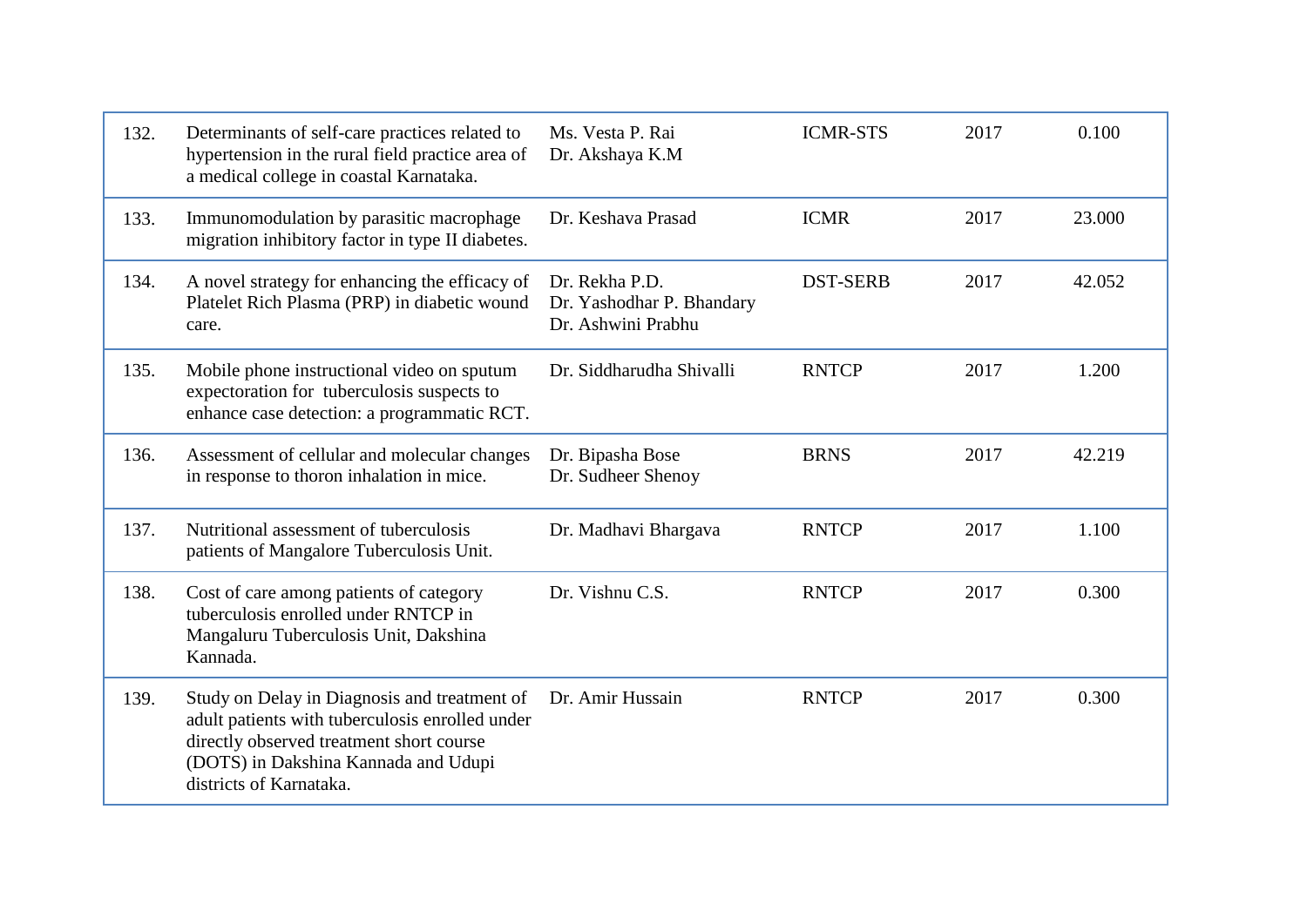| 132. | Determinants of self-care practices related to<br>hypertension in the rural field practice area of<br>a medical college in coastal Karnataka.                                                                  | Ms. Vesta P. Rai<br>Dr. Akshaya K.M                               | <b>ICMR-STS</b> | 2017 | 0.100  |
|------|----------------------------------------------------------------------------------------------------------------------------------------------------------------------------------------------------------------|-------------------------------------------------------------------|-----------------|------|--------|
| 133. | Immunomodulation by parasitic macrophage<br>migration inhibitory factor in type II diabetes.                                                                                                                   | Dr. Keshava Prasad                                                | <b>ICMR</b>     | 2017 | 23.000 |
| 134. | A novel strategy for enhancing the efficacy of<br>Platelet Rich Plasma (PRP) in diabetic wound<br>care.                                                                                                        | Dr. Rekha P.D.<br>Dr. Yashodhar P. Bhandary<br>Dr. Ashwini Prabhu | <b>DST-SERB</b> | 2017 | 42.052 |
| 135. | Mobile phone instructional video on sputum<br>expectoration for tuberculosis suspects to<br>enhance case detection: a programmatic RCT.                                                                        | Dr. Siddharudha Shivalli                                          | <b>RNTCP</b>    | 2017 | 1.200  |
| 136. | Assessment of cellular and molecular changes<br>in response to thoron inhalation in mice.                                                                                                                      | Dr. Bipasha Bose<br>Dr. Sudheer Shenoy                            | <b>BRNS</b>     | 2017 | 42.219 |
| 137. | Nutritional assessment of tuberculosis<br>patients of Mangalore Tuberculosis Unit.                                                                                                                             | Dr. Madhavi Bhargava                                              | <b>RNTCP</b>    | 2017 | 1.100  |
| 138. | Cost of care among patients of category<br>tuberculosis enrolled under RNTCP in<br>Mangaluru Tuberculosis Unit, Dakshina<br>Kannada.                                                                           | Dr. Vishnu C.S.                                                   | <b>RNTCP</b>    | 2017 | 0.300  |
| 139. | Study on Delay in Diagnosis and treatment of<br>adult patients with tuberculosis enrolled under<br>directly observed treatment short course<br>(DOTS) in Dakshina Kannada and Udupi<br>districts of Karnataka. | Dr. Amir Hussain                                                  | <b>RNTCP</b>    | 2017 | 0.300  |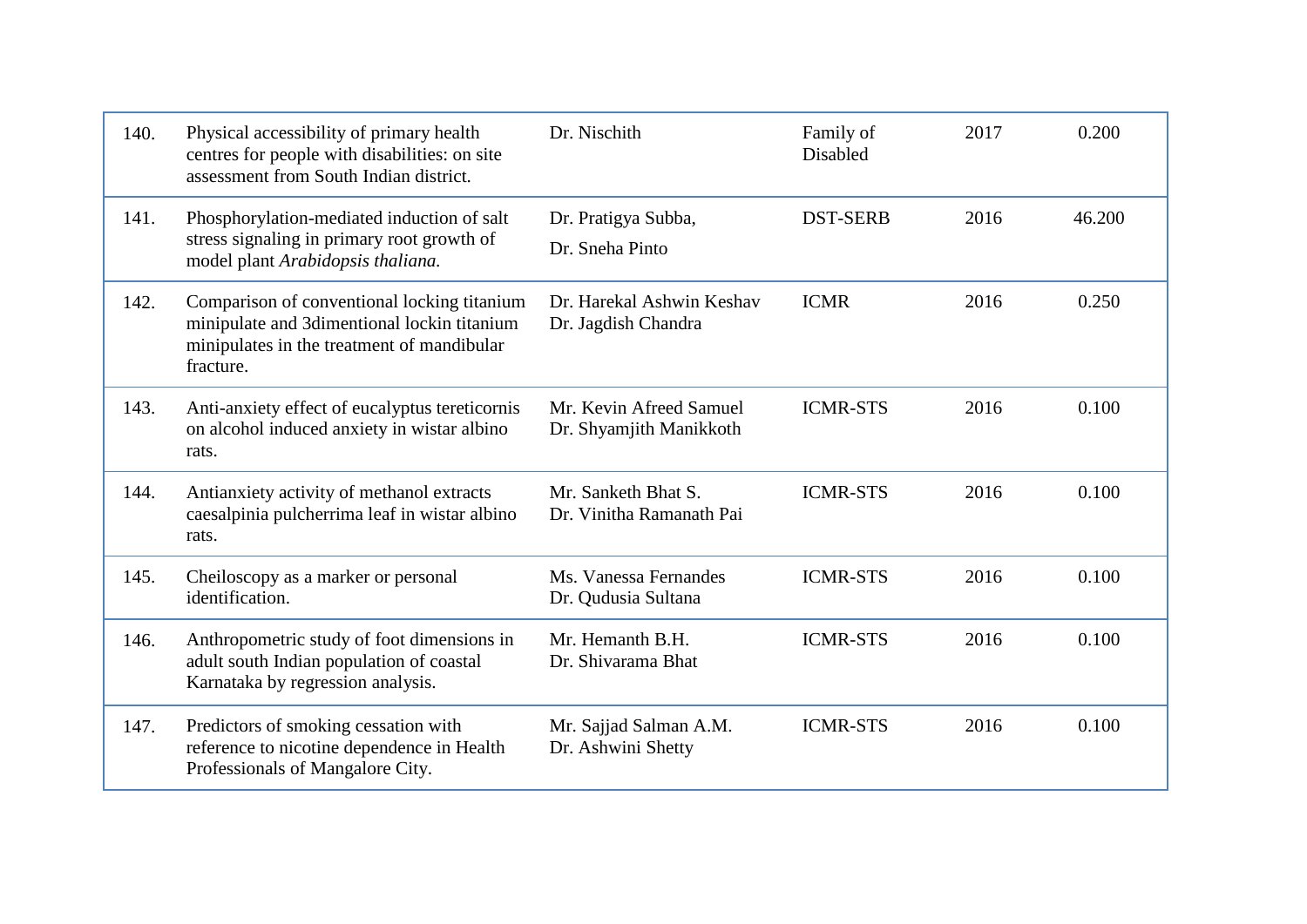| 140. | Physical accessibility of primary health<br>centres for people with disabilities: on site<br>assessment from South Indian district.                   | Dr. Nischith                                       | Family of<br>Disabled | 2017 | 0.200  |
|------|-------------------------------------------------------------------------------------------------------------------------------------------------------|----------------------------------------------------|-----------------------|------|--------|
| 141. | Phosphorylation-mediated induction of salt<br>stress signaling in primary root growth of<br>model plant Arabidopsis thaliana.                         | Dr. Pratigya Subba,<br>Dr. Sneha Pinto             | <b>DST-SERB</b>       | 2016 | 46.200 |
| 142. | Comparison of conventional locking titanium<br>minipulate and 3dimentional lockin titanium<br>minipulates in the treatment of mandibular<br>fracture. | Dr. Harekal Ashwin Keshav<br>Dr. Jagdish Chandra   | <b>ICMR</b>           | 2016 | 0.250  |
| 143. | Anti-anxiety effect of eucalyptus tereticornis<br>on alcohol induced anxiety in wistar albino<br>rats.                                                | Mr. Kevin Afreed Samuel<br>Dr. Shyamjith Manikkoth | <b>ICMR-STS</b>       | 2016 | 0.100  |
| 144. | Antianxiety activity of methanol extracts<br>caesalpinia pulcherrima leaf in wistar albino<br>rats.                                                   | Mr. Sanketh Bhat S.<br>Dr. Vinitha Ramanath Pai    | <b>ICMR-STS</b>       | 2016 | 0.100  |
| 145. | Cheiloscopy as a marker or personal<br>identification.                                                                                                | Ms. Vanessa Fernandes<br>Dr. Qudusia Sultana       | <b>ICMR-STS</b>       | 2016 | 0.100  |
| 146. | Anthropometric study of foot dimensions in<br>adult south Indian population of coastal<br>Karnataka by regression analysis.                           | Mr. Hemanth B.H.<br>Dr. Shivarama Bhat             | <b>ICMR-STS</b>       | 2016 | 0.100  |
| 147. | Predictors of smoking cessation with<br>reference to nicotine dependence in Health<br>Professionals of Mangalore City.                                | Mr. Sajjad Salman A.M.<br>Dr. Ashwini Shetty       | <b>ICMR-STS</b>       | 2016 | 0.100  |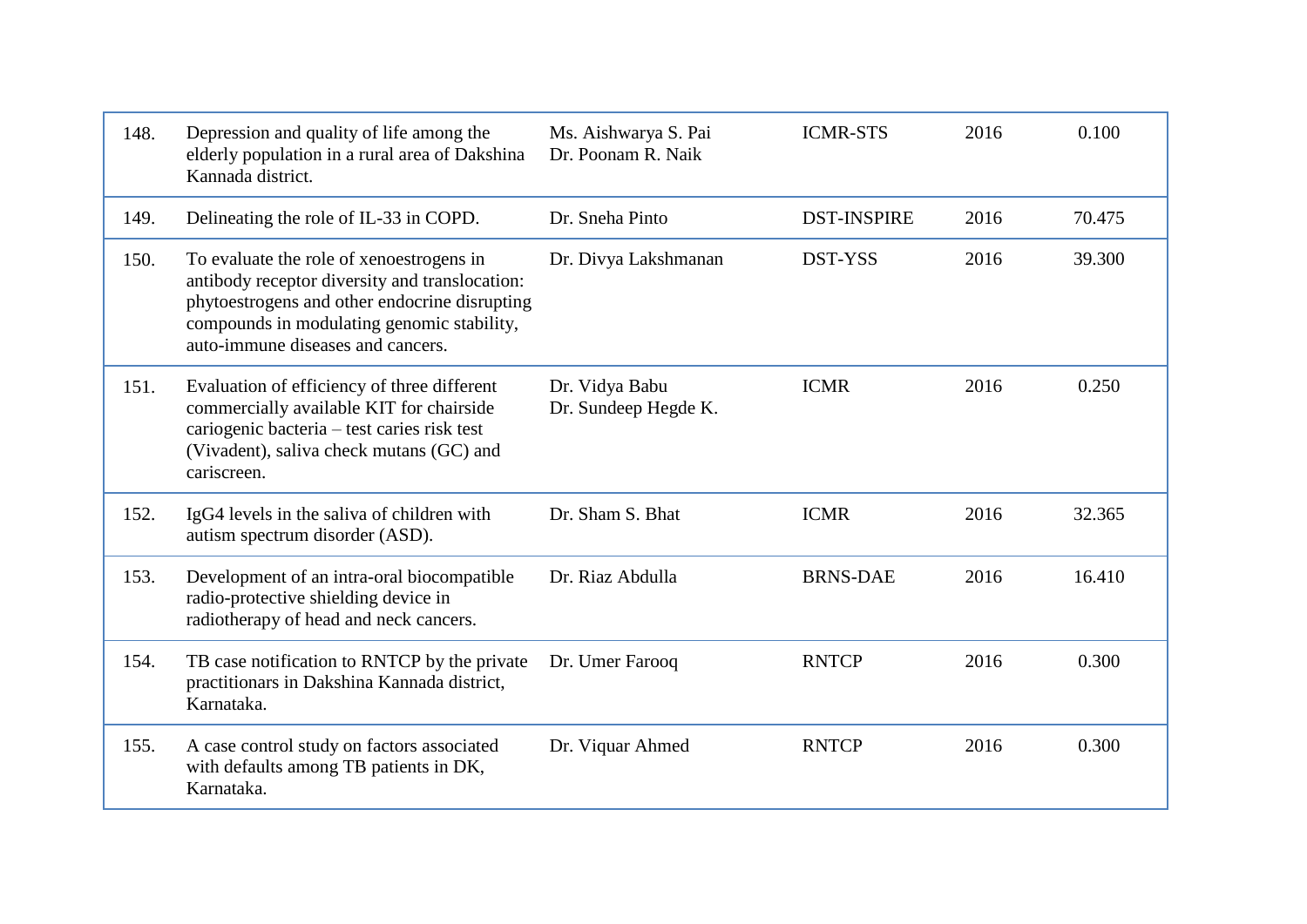| 148. | Depression and quality of life among the<br>elderly population in a rural area of Dakshina<br>Kannada district.                                                                                                                | Ms. Aishwarya S. Pai<br>Dr. Poonam R. Naik | <b>ICMR-STS</b>    | 2016 | 0.100  |
|------|--------------------------------------------------------------------------------------------------------------------------------------------------------------------------------------------------------------------------------|--------------------------------------------|--------------------|------|--------|
| 149. | Delineating the role of IL-33 in COPD.                                                                                                                                                                                         | Dr. Sneha Pinto                            | <b>DST-INSPIRE</b> | 2016 | 70.475 |
| 150. | To evaluate the role of xenoestrogens in<br>antibody receptor diversity and translocation:<br>phytoestrogens and other endocrine disrupting<br>compounds in modulating genomic stability,<br>auto-immune diseases and cancers. | Dr. Divya Lakshmanan                       | DST-YSS            | 2016 | 39.300 |
| 151. | Evaluation of efficiency of three different<br>commercially available KIT for chairside<br>cariogenic bacteria - test caries risk test<br>(Vivadent), saliva check mutans (GC) and<br>cariscreen.                              | Dr. Vidya Babu<br>Dr. Sundeep Hegde K.     | <b>ICMR</b>        | 2016 | 0.250  |
| 152. | IgG4 levels in the saliva of children with<br>autism spectrum disorder (ASD).                                                                                                                                                  | Dr. Sham S. Bhat                           | <b>ICMR</b>        | 2016 | 32.365 |
| 153. | Development of an intra-oral biocompatible<br>radio-protective shielding device in<br>radiotherapy of head and neck cancers.                                                                                                   | Dr. Riaz Abdulla                           | <b>BRNS-DAE</b>    | 2016 | 16.410 |
| 154. | TB case notification to RNTCP by the private<br>practitionars in Dakshina Kannada district,<br>Karnataka.                                                                                                                      | Dr. Umer Farooq                            | <b>RNTCP</b>       | 2016 | 0.300  |
| 155. | A case control study on factors associated<br>with defaults among TB patients in DK,<br>Karnataka.                                                                                                                             | Dr. Viquar Ahmed                           | <b>RNTCP</b>       | 2016 | 0.300  |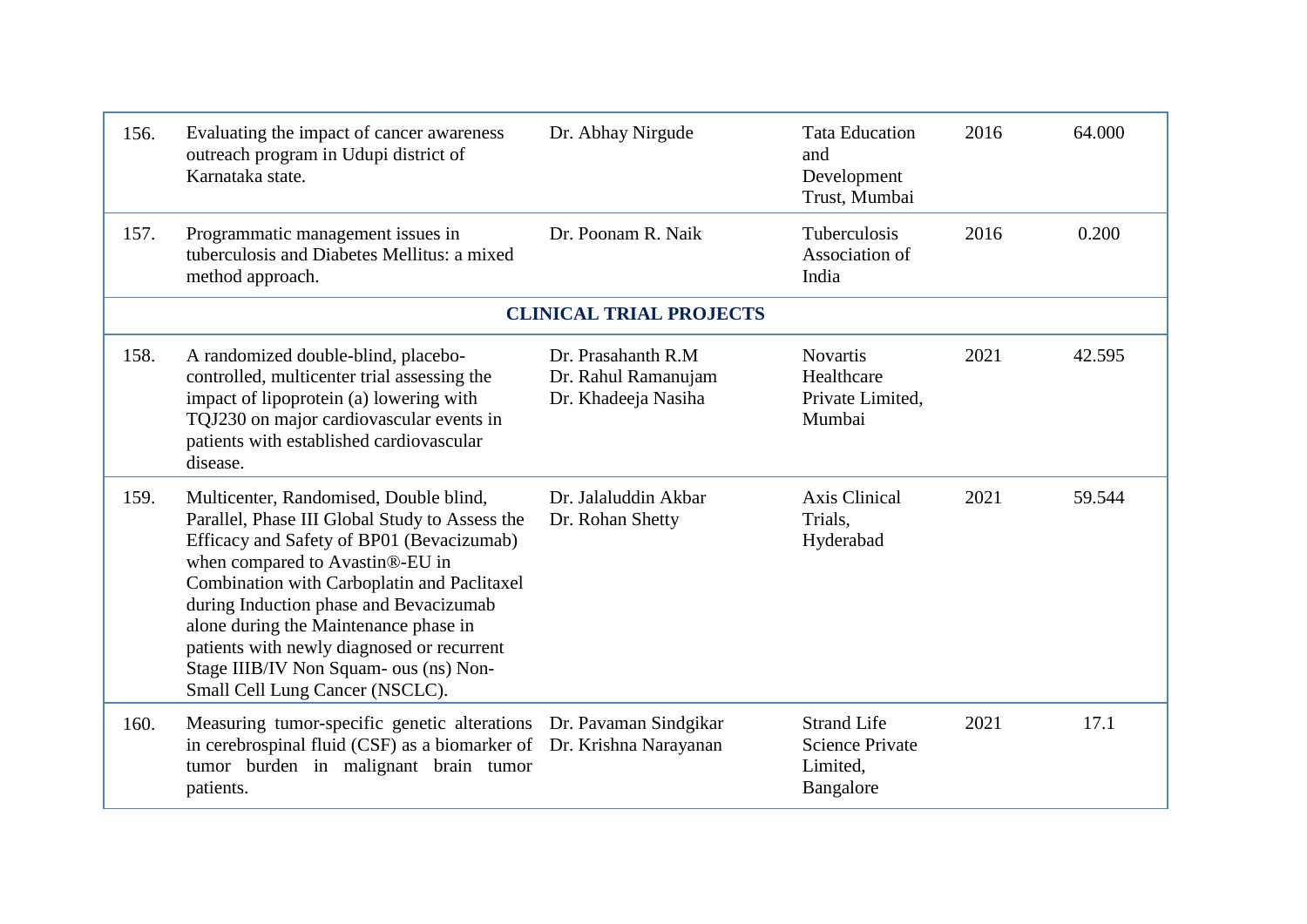| 156. | Evaluating the impact of cancer awareness<br>outreach program in Udupi district of<br>Karnataka state.                                                                                                                                                                                                                                                                                                                                | Dr. Abhay Nirgude                                                 | <b>Tata Education</b><br>and<br>Development<br>Trust, Mumbai          | 2016 | 64.000 |
|------|---------------------------------------------------------------------------------------------------------------------------------------------------------------------------------------------------------------------------------------------------------------------------------------------------------------------------------------------------------------------------------------------------------------------------------------|-------------------------------------------------------------------|-----------------------------------------------------------------------|------|--------|
| 157. | Programmatic management issues in<br>tuberculosis and Diabetes Mellitus: a mixed<br>method approach.                                                                                                                                                                                                                                                                                                                                  | Dr. Poonam R. Naik                                                | <b>Tuberculosis</b><br>Association of<br>India                        | 2016 | 0.200  |
|      |                                                                                                                                                                                                                                                                                                                                                                                                                                       | <b>CLINICAL TRIAL PROJECTS</b>                                    |                                                                       |      |        |
| 158. | A randomized double-blind, placebo-<br>controlled, multicenter trial assessing the<br>impact of lipoprotein (a) lowering with<br>TQJ230 on major cardiovascular events in<br>patients with established cardiovascular<br>disease.                                                                                                                                                                                                     | Dr. Prasahanth R.M.<br>Dr. Rahul Ramanujam<br>Dr. Khadeeja Nasiha | <b>Novartis</b><br>Healthcare<br>Private Limited,<br>Mumbai           | 2021 | 42.595 |
| 159. | Multicenter, Randomised, Double blind,<br>Parallel, Phase III Global Study to Assess the<br>Efficacy and Safety of BP01 (Bevacizumab)<br>when compared to Avastin®-EU in<br>Combination with Carboplatin and Paclitaxel<br>during Induction phase and Bevacizumab<br>alone during the Maintenance phase in<br>patients with newly diagnosed or recurrent<br>Stage IIIB/IV Non Squam- ous (ns) Non-<br>Small Cell Lung Cancer (NSCLC). | Dr. Jalaluddin Akbar<br>Dr. Rohan Shetty                          | <b>Axis Clinical</b><br>Trials,<br>Hyderabad                          | 2021 | 59.544 |
| 160. | Measuring tumor-specific genetic alterations Dr. Pavaman Sindgikar<br>in cerebrospinal fluid (CSF) as a biomarker of Dr. Krishna Narayanan<br>tumor burden in malignant brain tumor<br>patients.                                                                                                                                                                                                                                      |                                                                   | <b>Strand Life</b><br><b>Science Private</b><br>Limited,<br>Bangalore | 2021 | 17.1   |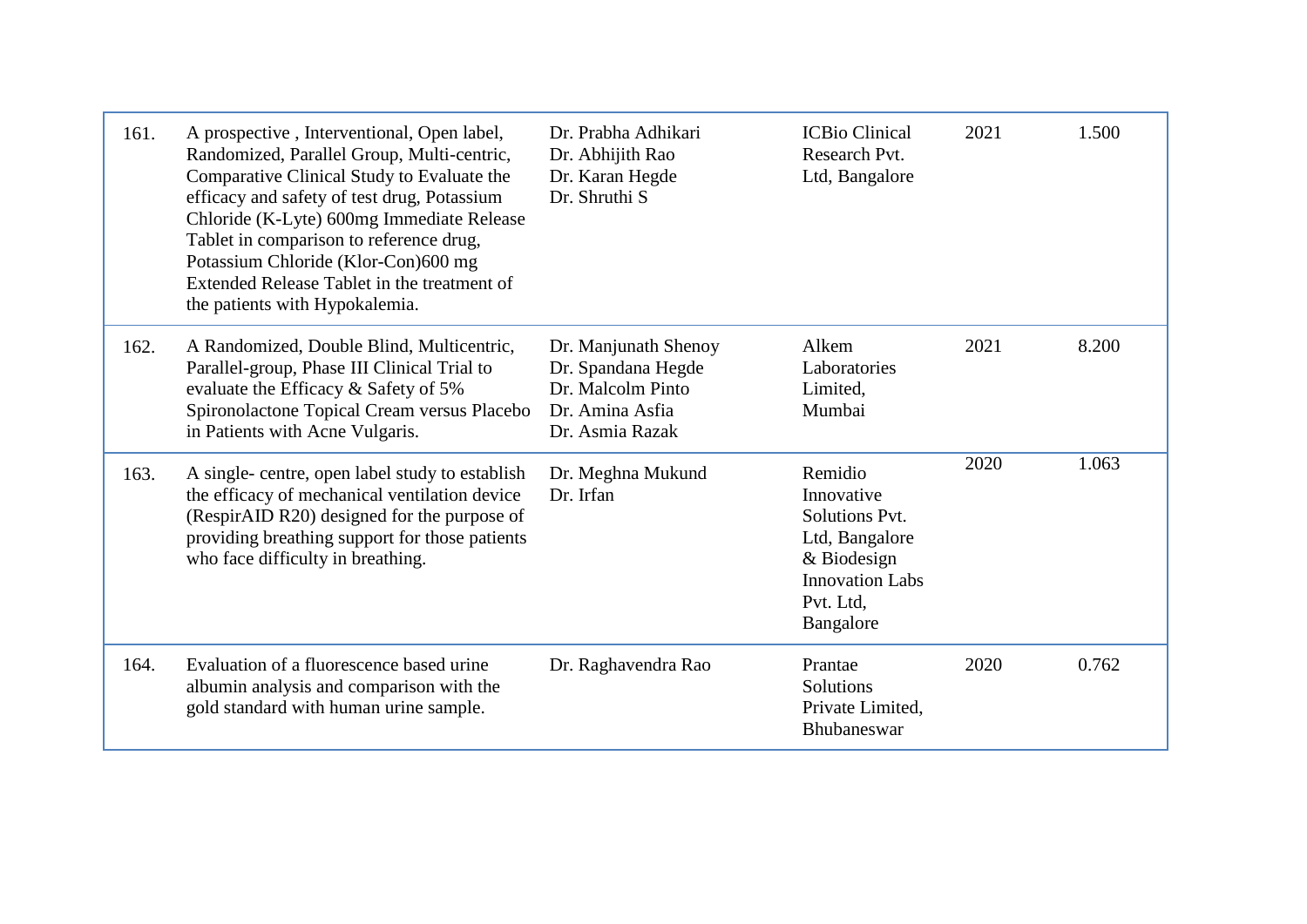| 161. | A prospective, Interventional, Open label,<br>Randomized, Parallel Group, Multi-centric,<br>Comparative Clinical Study to Evaluate the<br>efficacy and safety of test drug, Potassium<br>Chloride (K-Lyte) 600mg Immediate Release<br>Tablet in comparison to reference drug,<br>Potassium Chloride (Klor-Con)600 mg<br>Extended Release Tablet in the treatment of<br>the patients with Hypokalemia. | Dr. Prabha Adhikari<br>Dr. Abhijith Rao<br>Dr. Karan Hegde<br>Dr. Shruthi S                           | <b>ICBio Clinical</b><br>Research Pvt.<br>Ltd, Bangalore                                                                     | 2021 | 1.500 |
|------|-------------------------------------------------------------------------------------------------------------------------------------------------------------------------------------------------------------------------------------------------------------------------------------------------------------------------------------------------------------------------------------------------------|-------------------------------------------------------------------------------------------------------|------------------------------------------------------------------------------------------------------------------------------|------|-------|
| 162. | A Randomized, Double Blind, Multicentric,<br>Parallel-group, Phase III Clinical Trial to<br>evaluate the Efficacy & Safety of 5%<br>Spironolactone Topical Cream versus Placebo<br>in Patients with Acne Vulgaris.                                                                                                                                                                                    | Dr. Manjunath Shenoy<br>Dr. Spandana Hegde<br>Dr. Malcolm Pinto<br>Dr. Amina Asfia<br>Dr. Asmia Razak | Alkem<br>Laboratories<br>Limited,<br>Mumbai                                                                                  | 2021 | 8.200 |
| 163. | A single- centre, open label study to establish<br>the efficacy of mechanical ventilation device<br>(RespirAID R20) designed for the purpose of<br>providing breathing support for those patients<br>who face difficulty in breathing.                                                                                                                                                                | Dr. Meghna Mukund<br>Dr. Irfan                                                                        | Remidio<br>Innovative<br>Solutions Pvt.<br>Ltd, Bangalore<br>& Biodesign<br><b>Innovation Labs</b><br>Pvt. Ltd.<br>Bangalore | 2020 | 1.063 |
| 164. | Evaluation of a fluorescence based urine<br>albumin analysis and comparison with the<br>gold standard with human urine sample.                                                                                                                                                                                                                                                                        | Dr. Raghavendra Rao                                                                                   | Prantae<br>Solutions<br>Private Limited,<br>Bhubaneswar                                                                      | 2020 | 0.762 |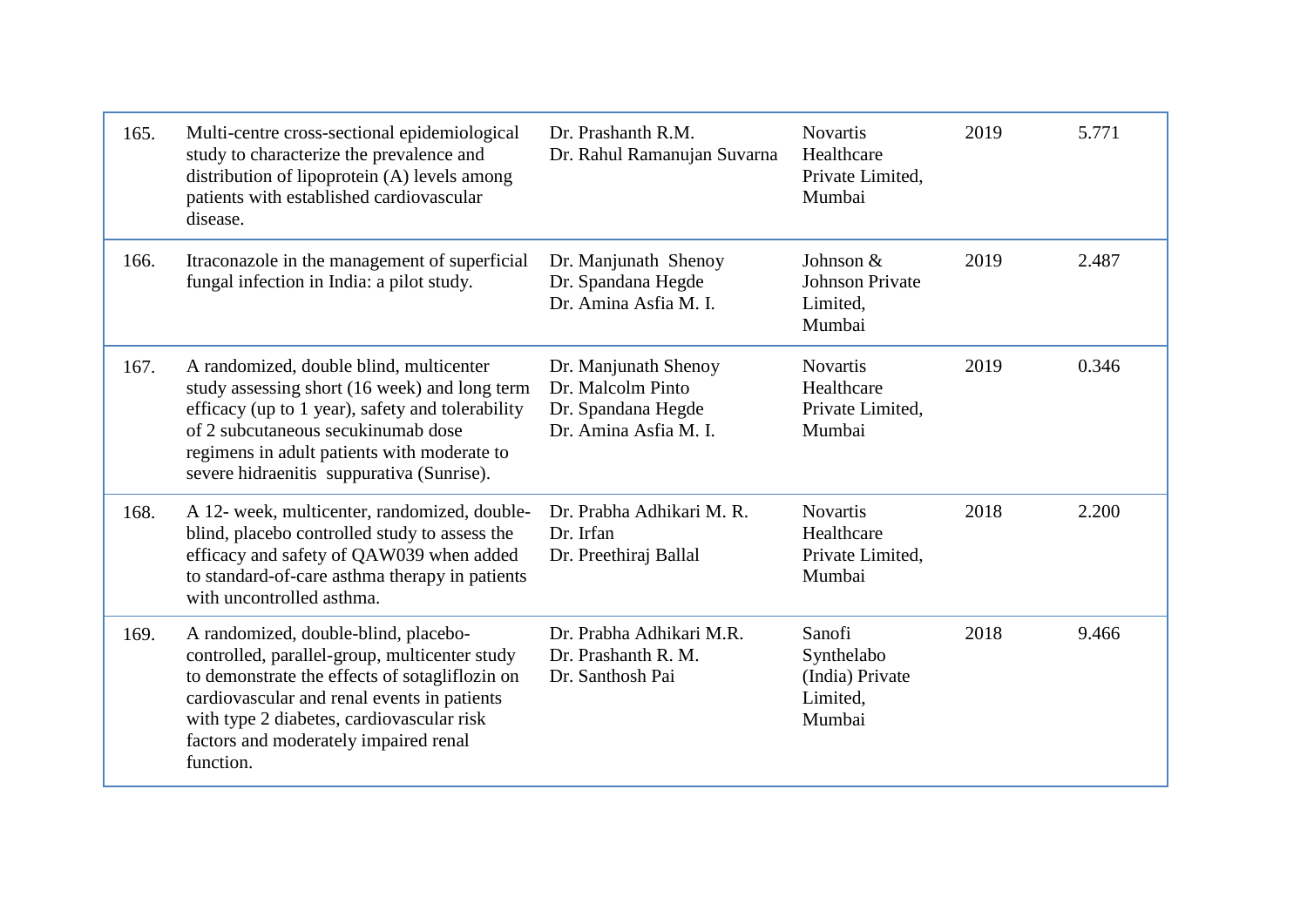| 165. | Multi-centre cross-sectional epidemiological<br>study to characterize the prevalence and<br>distribution of lipoprotein (A) levels among<br>patients with established cardiovascular<br>disease.                                                                                          | Dr. Prashanth R.M.<br>Dr. Rahul Ramanujan Suvarna                                        | <b>Novartis</b><br>Healthcare<br>Private Limited,<br>Mumbai   | 2019 | 5.771 |
|------|-------------------------------------------------------------------------------------------------------------------------------------------------------------------------------------------------------------------------------------------------------------------------------------------|------------------------------------------------------------------------------------------|---------------------------------------------------------------|------|-------|
| 166. | Itraconazole in the management of superficial<br>fungal infection in India: a pilot study.                                                                                                                                                                                                | Dr. Manjunath Shenoy<br>Dr. Spandana Hegde<br>Dr. Amina Asfia M. I.                      | Johnson &<br><b>Johnson Private</b><br>Limited,<br>Mumbai     | 2019 | 2.487 |
| 167. | A randomized, double blind, multicenter<br>study assessing short (16 week) and long term<br>efficacy (up to 1 year), safety and tolerability<br>of 2 subcutaneous secukinumab dose<br>regimens in adult patients with moderate to<br>severe hidraenitis suppurativa (Sunrise).            | Dr. Manjunath Shenoy<br>Dr. Malcolm Pinto<br>Dr. Spandana Hegde<br>Dr. Amina Asfia M. I. | <b>Novartis</b><br>Healthcare<br>Private Limited,<br>Mumbai   | 2019 | 0.346 |
| 168. | A 12- week, multicenter, randomized, double-<br>blind, placebo controlled study to assess the<br>efficacy and safety of QAW039 when added<br>to standard-of-care asthma therapy in patients<br>with uncontrolled asthma.                                                                  | Dr. Prabha Adhikari M. R.<br>Dr. Irfan<br>Dr. Preethiraj Ballal                          | <b>Novartis</b><br>Healthcare<br>Private Limited,<br>Mumbai   | 2018 | 2.200 |
| 169. | A randomized, double-blind, placebo-<br>controlled, parallel-group, multicenter study<br>to demonstrate the effects of sotagliflozin on<br>cardiovascular and renal events in patients<br>with type 2 diabetes, cardiovascular risk<br>factors and moderately impaired renal<br>function. | Dr. Prabha Adhikari M.R.<br>Dr. Prashanth R. M.<br>Dr. Santhosh Pai                      | Sanofi<br>Synthelabo<br>(India) Private<br>Limited,<br>Mumbai | 2018 | 9.466 |